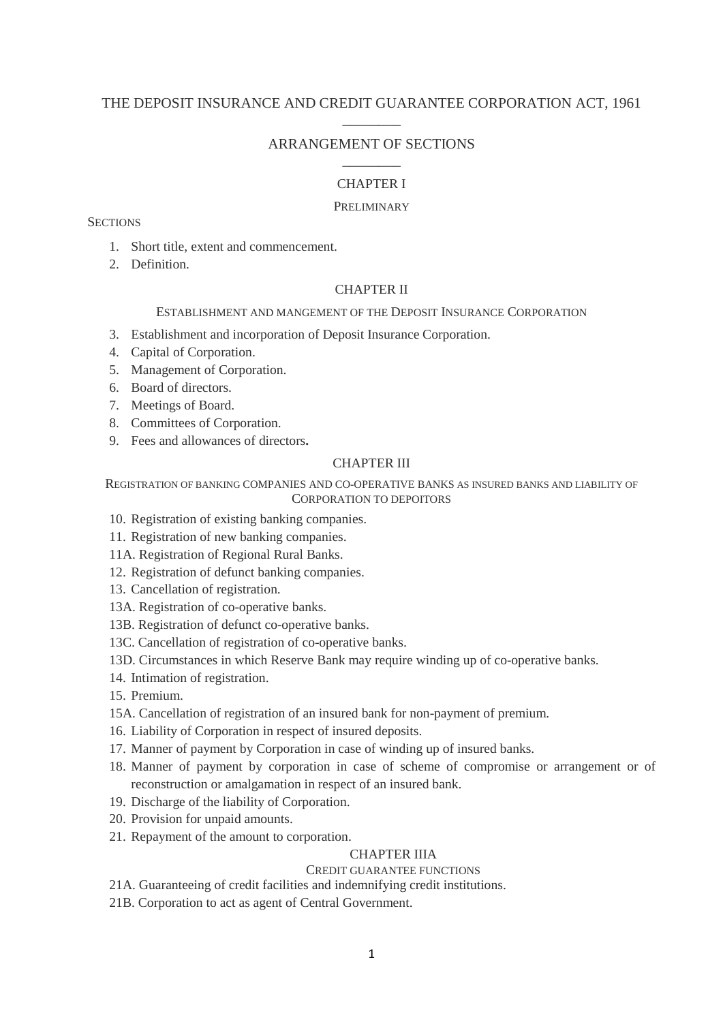# THE DEPOSIT INSURANCE AND CREDIT GUARANTEE CORPORATION ACT, 1961  $\overline{\phantom{a}}$  . The set of the set of the set of the set of the set of the set of the set of the set of the set of the set of the set of the set of the set of the set of the set of the set of the set of the set of the set o

# ARRANGEMENT OF SECTIONS  $\overline{\phantom{a}}$  . The set of the set of the set of the set of the set of the set of the set of the set of the set of the set of the set of the set of the set of the set of the set of the set of the set of the set of the set o

# CHAPTER I

## PRELIMINARY

**SECTIONS** 

- 1. Short title, extent and commencement.
- 2. Definition.

# CHAPTER II

## ESTABLISHMENT AND MANGEMENT OF THE DEPOSIT INSURANCE CORPORATION

- 3. Establishment and incorporation of Deposit Insurance Corporation.
- 4. Capital of Corporation.
- 5. Management of Corporation.
- 6. Board of directors.
- 7. Meetings of Board.
- 8. Committees of Corporation.
- 9. Fees and allowances of directors**.**

# CHAPTER III

## REGISTRATION OF BANKING COMPANIES AND CO-OPERATIVE BANKS AS INSURED BANKS AND LIABILITY OF CORPORATION TO DEPOITORS

- 10. Registration of existing banking companies.
- 11. Registration of new banking companies.
- 11A. Registration of Regional Rural Banks.
- 12. Registration of defunct banking companies.
- 13. Cancellation of registration.
- 13A. Registration of co-operative banks.
- 13B. Registration of defunct co-operative banks.
- 13C. Cancellation of registration of co-operative banks.
- 13D. Circumstances in which Reserve Bank may require winding up of co-operative banks.
- 14. Intimation of registration.
- 15. Premium.
- 15A. Cancellation of registration of an insured bank for non-payment of premium.
- 16. Liability of Corporation in respect of insured deposits.
- 17. Manner of payment by Corporation in case of winding up of insured banks.
- 18. Manner of payment by corporation in case of scheme of compromise or arrangement or of reconstruction or amalgamation in respect of an insured bank.
- 19. Discharge of the liability of Corporation.
- 20. Provision for unpaid amounts.
- 21. Repayment of the amount to corporation.

## CHAPTER IIIA

# CREDIT GUARANTEE FUNCTIONS

21A. Guaranteeing of credit facilities and indemnifying credit institutions.

21B. Corporation to act as agent of Central Government.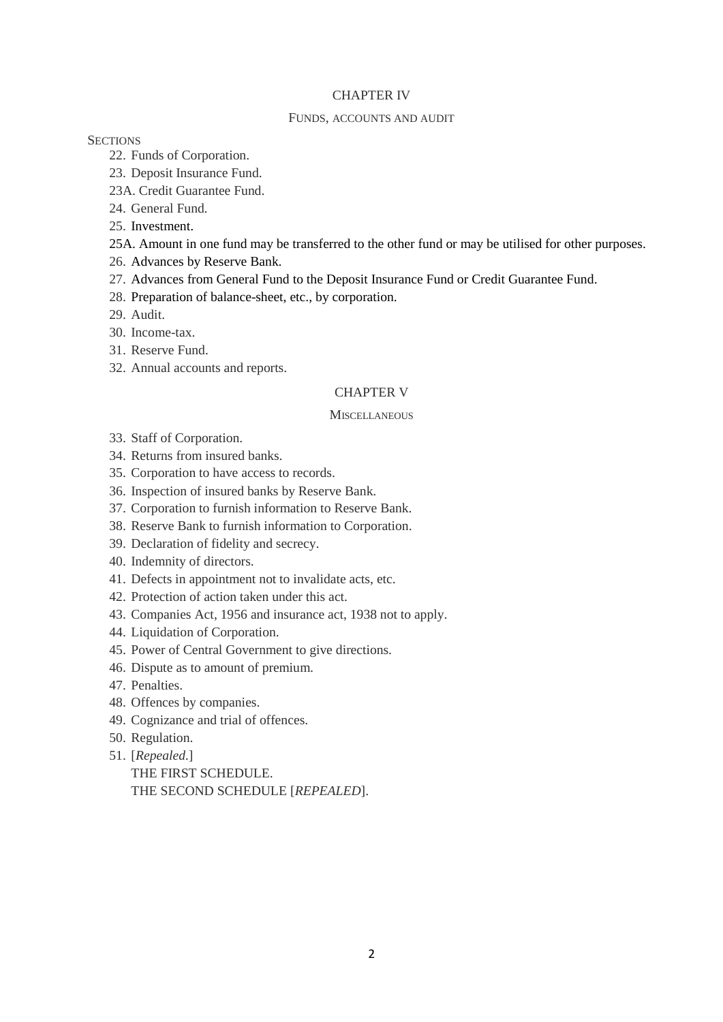## CHAPTER IV

### FUNDS, ACCOUNTS AND AUDIT

## **SECTIONS**

- 22. Funds of Corporation.
- 23. Deposit Insurance Fund.
- 23A. Credit Guarantee Fund.
- 24. General Fund.
- 25. Investment.
- 25A. Amount in one fund may be transferred to the other fund or may be utilised for other purposes.
- 26. Advances by Reserve Bank.
- 27. Advances from General Fund to the Deposit Insurance Fund or Credit Guarantee Fund.
- 28. Preparation of balance-sheet, etc., by corporation.
- 29. Audit.
- 30. Income-tax.
- 31. Reserve Fund.
- 32. Annual accounts and reports.

## CHAPTER V

#### **MISCELLANEOUS**

- 33. Staff of Corporation.
- 34. Returns from insured banks.
- 35. Corporation to have access to records.
- 36. Inspection of insured banks by Reserve Bank.
- 37. Corporation to furnish information to Reserve Bank.
- 38. Reserve Bank to furnish information to Corporation.
- 39. Declaration of fidelity and secrecy.
- 40. Indemnity of directors.
- 41. Defects in appointment not to invalidate acts, etc.
- 42. Protection of action taken under this act.
- 43. Companies Act, 1956 and insurance act, 1938 not to apply.
- 44. Liquidation of Corporation.
- 45. Power of Central Government to give directions.
- 46. Dispute as to amount of premium.
- 47. Penalties.
- 48. Offences by companies.
- 49. Cognizance and trial of offences.
- 50. Regulation.
- 51. [*Repealed*.] THE FIRST SCHEDULE. THE SECOND SCHEDULE [*REPEALED*].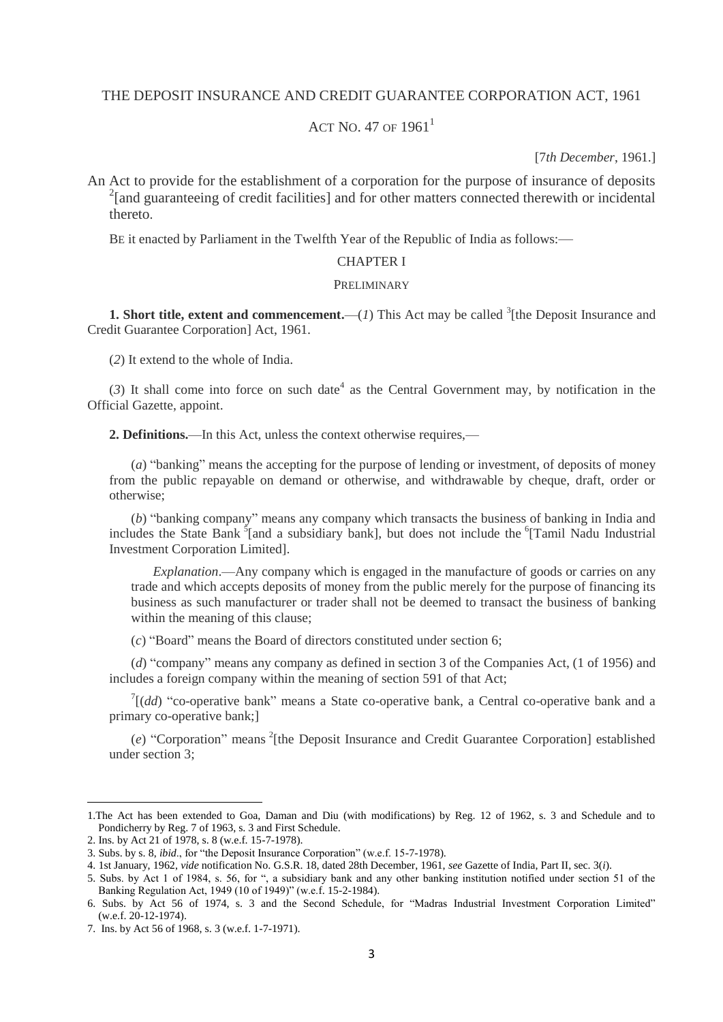## THE DEPOSIT INSURANCE AND CREDIT GUARANTEE CORPORATION ACT, 1961

# ACT NO. 47 OF  $1961<sup>1</sup>$

[7*th December*, 1961.]

An Act to provide for the establishment of a corporation for the purpose of insurance of deposits <sup>2</sup>[and guaranteeing of credit facilities] and for other matters connected therewith or incidental thereto.

BE it enacted by Parliament in the Twelfth Year of the Republic of India as follows:—

### CHAPTER I

#### PRELIMINARY

**1. Short title, extent and commencement.**  $-(1)$  This Act may be called <sup>3</sup>[the Deposit Insurance and Credit Guarantee Corporation] Act, 1961.

(*2*) It extend to the whole of India.

 $(3)$  It shall come into force on such date<sup>4</sup> as the Central Government may, by notification in the Official Gazette, appoint.

**2. Definitions.**—In this Act, unless the context otherwise requires,—

(*a*) "banking" means the accepting for the purpose of lending or investment, of deposits of money from the public repayable on demand or otherwise, and withdrawable by cheque, draft, order or otherwise;

(*b*) "banking company" means any company which transacts the business of banking in India and includes the State Bank<sup>5</sup>[and a subsidiary bank], but does not include the <sup>6</sup>[Tamil Nadu Industrial Investment Corporation Limited].

*Explanation*.—Any company which is engaged in the manufacture of goods or carries on any trade and which accepts deposits of money from the public merely for the purpose of financing its business as such manufacturer or trader shall not be deemed to transact the business of banking within the meaning of this clause;

(*c*) "Board" means the Board of directors constituted under section 6;

(*d*) "company" means any company as defined in section 3 of the Companies Act, (1 of 1956) and includes a foreign company within the meaning of section 591 of that Act;

 $T[(dd)$  "co-operative bank" means a State co-operative bank, a Central co-operative bank and a primary co-operative bank;]

(e) "Corporation" means <sup>2</sup>[the Deposit Insurance and Credit Guarantee Corporation] established under section 3;

 $\overline{a}$ 

<sup>1.</sup>The Act has been extended to Goa, Daman and Diu (with modifications) by Reg. 12 of 1962, s. 3 and Schedule and to Pondicherry by Reg. 7 of 1963, s. 3 and First Schedule.

<sup>2.</sup> Ins. by Act 21 of 1978, s. 8 (w.e.f. 15-7-1978).

<sup>3.</sup> Subs. by s. 8, *ibid*., for "the Deposit Insurance Corporation" (w.e.f. 15-7-1978).

<sup>4. 1</sup>st January, 1962, *vide* notification No. G.S.R. 18, dated 28th December, 1961, *see* Gazette of India, Part II, sec. 3(*i*).

<sup>5.</sup> Subs. by Act 1 of 1984, s. 56, for ", a subsidiary bank and any other banking institution notified under section 51 of the Banking Regulation Act, 1949 (10 of 1949)" (w.e.f. 15-2-1984).

<sup>6.</sup> Subs. by Act 56 of 1974, s. 3 and the Second Schedule, for "Madras Industrial Investment Corporation Limited" (w.e.f. 20-12-1974).

<sup>7.</sup> Ins. by Act 56 of 1968, s. 3 (w.e.f. 1-7-1971).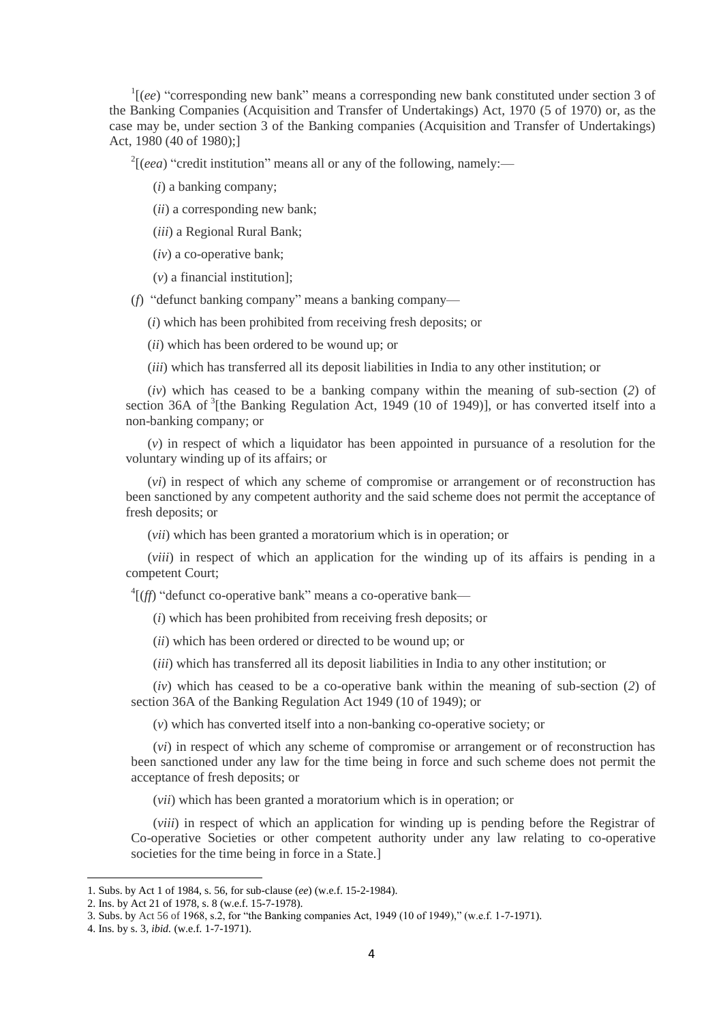<sup>1</sup>[(ee) "corresponding new bank" means a corresponding new bank constituted under section 3 of the Banking Companies (Acquisition and Transfer of Undertakings) Act, 1970 (5 of 1970) or, as the case may be, under section 3 of the Banking companies (Acquisition and Transfer of Undertakings) Act, 1980 (40 of 1980);]

 $2[(eea)$  "credit institution" means all or any of the following, namely:—

- (*i*) a banking company;
- (*ii*) a corresponding new bank;
- (*iii*) a Regional Rural Bank;
- (*iv*) a co-operative bank;
- (*v*) a financial institution];
- (*f*) "defunct banking company" means a banking company—
	- (*i*) which has been prohibited from receiving fresh deposits; or
	- (*ii*) which has been ordered to be wound up; or
	- (*iii*) which has transferred all its deposit liabilities in India to any other institution; or

(*iv*) which has ceased to be a banking company within the meaning of sub-section (*2*) of section 36A of <sup>3</sup>[the Banking Regulation Act, 1949 (10 of 1949)], or has converted itself into a non-banking company; or

(*v*) in respect of which a liquidator has been appointed in pursuance of a resolution for the voluntary winding up of its affairs; or

(*vi*) in respect of which any scheme of compromise or arrangement or of reconstruction has been sanctioned by any competent authority and the said scheme does not permit the acceptance of fresh deposits; or

(*vii*) which has been granted a moratorium which is in operation; or

(*viii*) in respect of which an application for the winding up of its affairs is pending in a competent Court;

<sup>4</sup>[(*ff*) "defunct co-operative bank" means a co-operative bank—

(*i*) which has been prohibited from receiving fresh deposits; or

(*ii*) which has been ordered or directed to be wound up; or

(*iii*) which has transferred all its deposit liabilities in India to any other institution; or

(*iv*) which has ceased to be a co-operative bank within the meaning of sub-section (*2*) of section 36A of the Banking Regulation Act 1949 (10 of 1949); or

(*v*) which has converted itself into a non-banking co-operative society; or

(*vi*) in respect of which any scheme of compromise or arrangement or of reconstruction has been sanctioned under any law for the time being in force and such scheme does not permit the acceptance of fresh deposits; or

(*vii*) which has been granted a moratorium which is in operation; or

(*viii*) in respect of which an application for winding up is pending before the Registrar of Co-operative Societies or other competent authority under any law relating to co-operative societies for the time being in force in a State.]

<sup>1.</sup> Subs. by Act 1 of 1984, s. 56, for sub-clause (*ee*) (w.e.f. 15-2-1984).

<sup>2.</sup> Ins. by Act 21 of 1978, s. 8 (w.e.f. 15-7-1978).

<sup>3.</sup> Subs. by Act 56 of 1968, s.2, for "the Banking companies Act, 1949 (10 of 1949)," (w.e.f. 1-7-1971).

<sup>4.</sup> Ins. by s. 3*, ibid.* (w.e.f. 1-7-1971).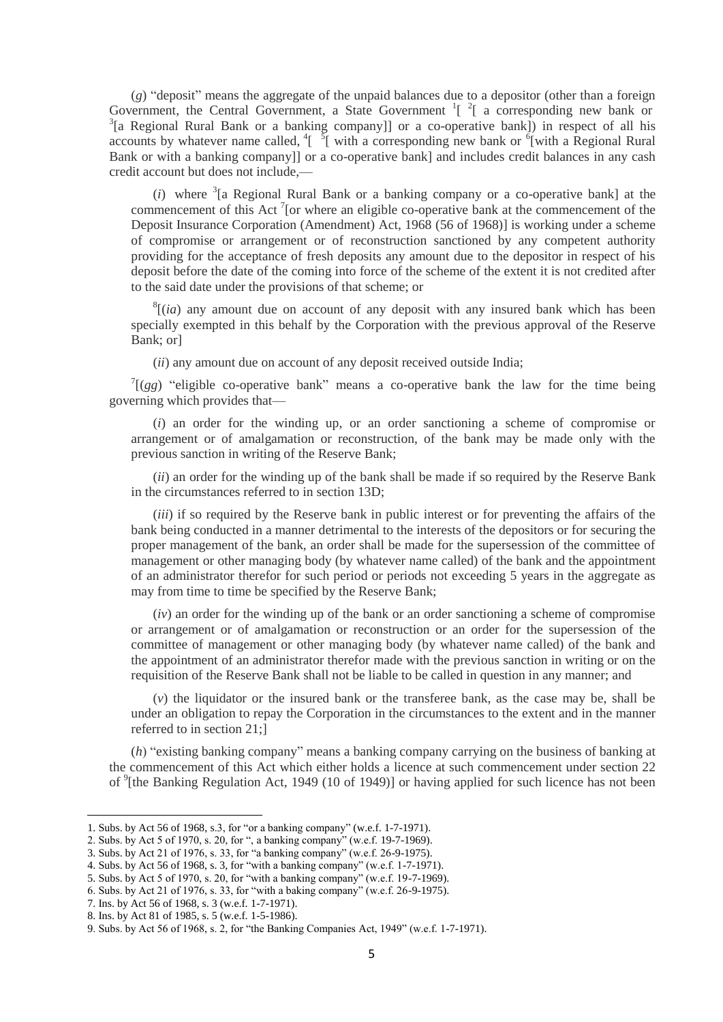(*g*) "deposit" means the aggregate of the unpaid balances due to a depositor (other than a foreign Government, the Central Government, a State Government  $\frac{1}{2}$  a corresponding new bank or  $3$ [a Regional Rural Bank or a banking company]] or a co-operative bank]) in respect of all his accounts by whatever name called,  $\frac{1}{2}$  with a corresponding new bank or  $\frac{6}{1}$  with a Regional Rural Bank or with a banking company]] or a co-operative bank] and includes credit balances in any cash credit account but does not include,—

(*i*) where <sup>3</sup>[a Regional Rural Bank or a banking company or a co-operative bank] at the commencement of this Act<sup>7</sup> [or where an eligible co-operative bank at the commencement of the Deposit Insurance Corporation (Amendment) Act, 1968 (56 of 1968)] is working under a scheme of compromise or arrangement or of reconstruction sanctioned by any competent authority providing for the acceptance of fresh deposits any amount due to the depositor in respect of his deposit before the date of the coming into force of the scheme of the extent it is not credited after to the said date under the provisions of that scheme; or

 $<sup>8</sup>$ [(*ia*) any amount due on account of any deposit with any insured bank which has been</sup> specially exempted in this behalf by the Corporation with the previous approval of the Reserve Bank; or]

(*ii*) any amount due on account of any deposit received outside India;

 $T[(gg)$  "eligible co-operative bank" means a co-operative bank the law for the time being governing which provides that—

(*i*) an order for the winding up, or an order sanctioning a scheme of compromise or arrangement or of amalgamation or reconstruction, of the bank may be made only with the previous sanction in writing of the Reserve Bank;

(*ii*) an order for the winding up of the bank shall be made if so required by the Reserve Bank in the circumstances referred to in section 13D;

(*iii*) if so required by the Reserve bank in public interest or for preventing the affairs of the bank being conducted in a manner detrimental to the interests of the depositors or for securing the proper management of the bank, an order shall be made for the supersession of the committee of management or other managing body (by whatever name called) of the bank and the appointment of an administrator therefor for such period or periods not exceeding 5 years in the aggregate as may from time to time be specified by the Reserve Bank;

(*iv*) an order for the winding up of the bank or an order sanctioning a scheme of compromise or arrangement or of amalgamation or reconstruction or an order for the supersession of the committee of management or other managing body (by whatever name called) of the bank and the appointment of an administrator therefor made with the previous sanction in writing or on the requisition of the Reserve Bank shall not be liable to be called in question in any manner; and

(*v*) the liquidator or the insured bank or the transferee bank, as the case may be, shall be under an obligation to repay the Corporation in the circumstances to the extent and in the manner referred to in section 21;]

(*h*) "existing banking company" means a banking company carrying on the business of banking at the commencement of this Act which either holds a licence at such commencement under section 22 of <sup>9</sup>[the Banking Regulation Act, 1949 (10 of 1949)] or having applied for such licence has not been

<sup>1.</sup> Subs. by Act 56 of 1968, s.3, for "or a banking company" (w.e.f. 1-7-1971).

<sup>2.</sup> Subs. by Act 5 of 1970, s. 20, for ", a banking company" (w.e.f. 19-7-1969).

<sup>3.</sup> Subs. by Act 21 of 1976, s. 33, for "a banking company" (w.e.f. 26-9-1975).

<sup>4.</sup> Subs. by Act 56 of 1968, s. 3, for "with a banking company" (w.e.f. 1-7-1971).

<sup>5.</sup> Subs. by Act 5 of 1970, s. 20, for "with a banking company" (w.e.f. 19-7-1969).

<sup>6.</sup> Subs. by Act 21 of 1976, s. 33, for "with a baking company" (w.e.f. 26-9-1975).

<sup>7.</sup> Ins. by Act 56 of 1968, s. 3 (w.e.f. 1-7-1971).

<sup>8.</sup> Ins. by Act 81 of 1985, s. 5 (w.e.f. 1-5-1986).

<sup>9.</sup> Subs. by Act 56 of 1968, s. 2, for "the Banking Companies Act, 1949" (w.e.f. 1-7-1971).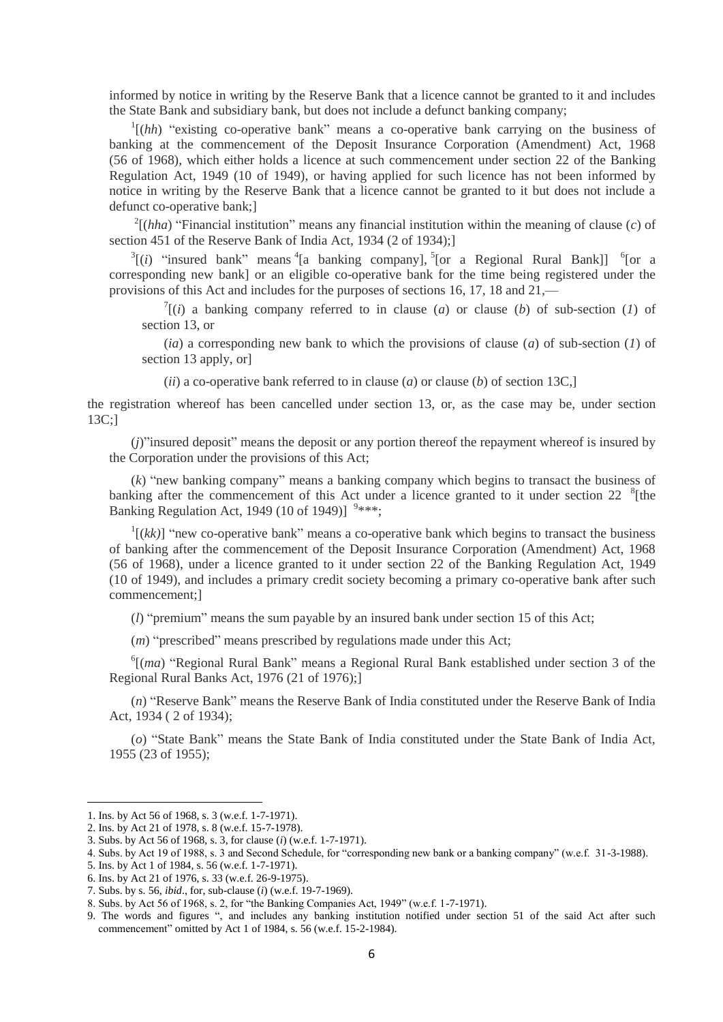informed by notice in writing by the Reserve Bank that a licence cannot be granted to it and includes the State Bank and subsidiary bank, but does not include a defunct banking company;

<sup>1</sup>[(hh) "existing co-operative bank" means a co-operative bank carrying on the business of banking at the commencement of the Deposit Insurance Corporation (Amendment) Act, 1968 (56 of 1968), which either holds a licence at such commencement under section 22 of the Banking Regulation Act, 1949 (10 of 1949), or having applied for such licence has not been informed by notice in writing by the Reserve Bank that a licence cannot be granted to it but does not include a defunct co-operative bank;]

 $^{2}$ [(*hha*) "Financial institution" means any financial institution within the meaning of clause (*c*) of section 451 of the Reserve Bank of India Act, 1934 (2 of 1934);]

 $3[(i)$  "insured bank" means  $(3)$  a hanking company],  $(5)$  a Regional Rural Bank]]  $(6)$  a corresponding new bank] or an eligible co-operative bank for the time being registered under the provisions of this Act and includes for the purposes of sections 16, 17, 18 and 21,—

 $T(i)$  a banking company referred to in clause (*a*) or clause (*b*) of sub-section (*l*) of section 13, or

(*ia*) a corresponding new bank to which the provisions of clause (*a*) of sub-section (*1*) of section 13 apply, or]

(*ii*) a co-operative bank referred to in clause (*a*) or clause (*b*) of section 13C,]

the registration whereof has been cancelled under section 13, or, as the case may be, under section 13C;]

(*j*)"insured deposit" means the deposit or any portion thereof the repayment whereof is insured by the Corporation under the provisions of this Act;

(*k*) "new banking company" means a banking company which begins to transact the business of banking after the commencement of this Act under a licence granted to it under section 22  ${}^{8}$ [the Banking Regulation Act, 1949 (10 of 1949)]  $9***$ ;

 $\binom{1}{k}$  "new co-operative bank" means a co-operative bank which begins to transact the business of banking after the commencement of the Deposit Insurance Corporation (Amendment) Act, 1968 (56 of 1968), under a licence granted to it under section 22 of the Banking Regulation Act, 1949 (10 of 1949), and includes a primary credit society becoming a primary co-operative bank after such commencement;]

(*l*) "premium" means the sum payable by an insured bank under section 15 of this Act;

(*m*) "prescribed" means prescribed by regulations made under this Act;

<sup>6</sup>[(*ma*) "Regional Rural Bank" means a Regional Rural Bank established under section 3 of the Regional Rural Banks Act, 1976 (21 of 1976);]

(*n*) "Reserve Bank" means the Reserve Bank of India constituted under the Reserve Bank of India Act, 1934 ( 2 of 1934);

(*o*) "State Bank" means the State Bank of India constituted under the State Bank of India Act, 1955 (23 of 1955);

 $\overline{a}$ 

<sup>1.</sup> Ins. by Act 56 of 1968, s. 3 (w.e.f. 1-7-1971).

<sup>2.</sup> Ins. by Act 21 of 1978, s. 8 (w.e.f. 15-7-1978).

<sup>3.</sup> Subs. by Act 56 of 1968, s. 3, for clause (*i*) (w.e.f. 1-7-1971).

<sup>4.</sup> Subs. by Act 19 of 1988, s. 3 and Second Schedule, for "corresponding new bank or a banking company" (w.e.f. 31-3-1988).

<sup>5.</sup> Ins. by Act 1 of 1984, s. 56 (w.e.f. 1-7-1971).

<sup>6.</sup> Ins. by Act 21 of 1976, s. 33 (w.e.f. 26-9-1975).

<sup>7.</sup> Subs. by s. 56, *ibid*., for, sub-clause (*i*) (w.e.f. 19-7-1969).

<sup>8.</sup> Subs. by Act 56 of 1968, s. 2, for "the Banking Companies Act, 1949" (w.e.f. 1-7-1971).

<sup>9.</sup> The words and figures ", and includes any banking institution notified under section 51 of the said Act after such commencement" omitted by Act 1 of 1984, s. 56 (w.e.f. 15-2-1984).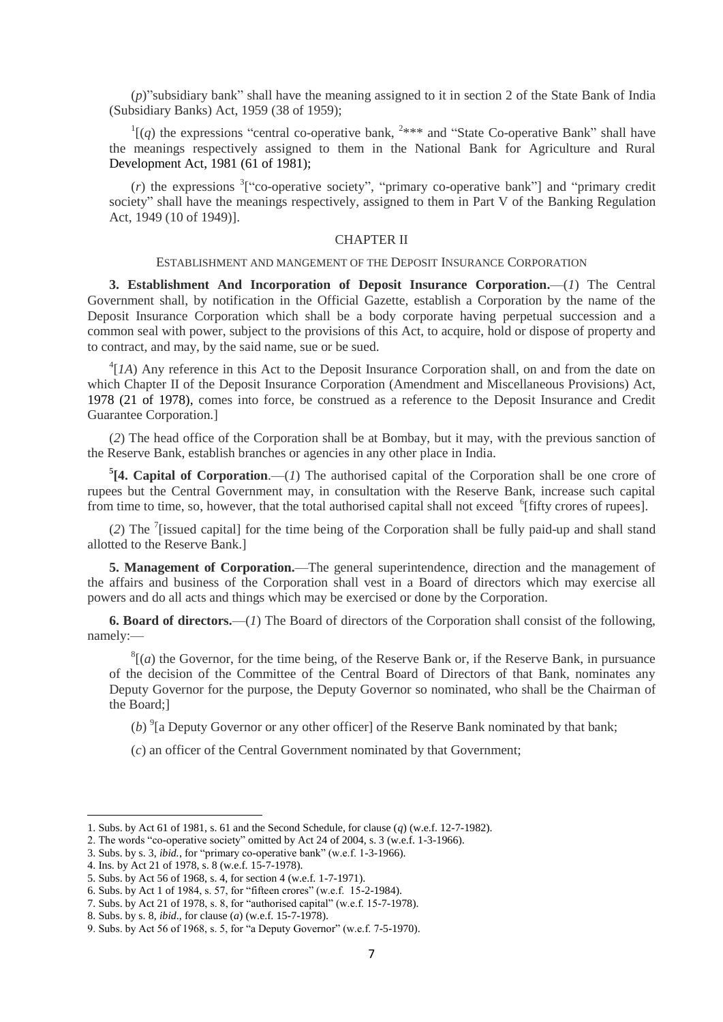(*p*)"subsidiary bank" shall have the meaning assigned to it in section 2 of the State Bank of India (Subsidiary Banks) Act, 1959 (38 of 1959);

 $\Gamma$ [(q) the expressions "central co-operative bank, <sup>2\*\*\*</sup> and "State Co-operative Bank" shall have the meanings respectively assigned to them in the National Bank for Agriculture and Rural Development Act, 1981 (61 of 1981);

(*r*) the expressions <sup>3</sup>["co-operative society", "primary co-operative bank"] and "primary credit society" shall have the meanings respectively, assigned to them in Part V of the Banking Regulation Act, 1949 (10 of 1949)].

### CHAPTER II

#### ESTABLISHMENT AND MANGEMENT OF THE DEPOSIT INSURANCE CORPORATION

**3. Establishment And Incorporation of Deposit Insurance Corporation.**—(*1*) The Central Government shall, by notification in the Official Gazette, establish a Corporation by the name of the Deposit Insurance Corporation which shall be a body corporate having perpetual succession and a common seal with power, subject to the provisions of this Act, to acquire, hold or dispose of property and to contract, and may, by the said name, sue or be sued.

 $^{4}[IA]$  Any reference in this Act to the Deposit Insurance Corporation shall, on and from the date on which Chapter II of the Deposit Insurance Corporation (Amendment and Miscellaneous Provisions) Act, 1978 (21 of 1978), comes into force, be construed as a reference to the Deposit Insurance and Credit Guarantee Corporation.]

(*2*) The head office of the Corporation shall be at Bombay, but it may, with the previous sanction of the Reserve Bank, establish branches or agencies in any other place in India.

 ${}^5$ [4. Capital of Corporation.—(*1*) The authorised capital of the Corporation shall be one crore of rupees but the Central Government may, in consultation with the Reserve Bank, increase such capital from time to time, so, however, that the total authorised capital shall not exceed <sup>6</sup>[fifty crores of rupees].

(*2*) The <sup>7</sup> [issued capital] for the time being of the Corporation shall be fully paid-up and shall stand allotted to the Reserve Bank.]

**5. Management of Corporation.**—The general superintendence, direction and the management of the affairs and business of the Corporation shall vest in a Board of directors which may exercise all powers and do all acts and things which may be exercised or done by the Corporation.

**6. Board of directors.**—(*1*) The Board of directors of the Corporation shall consist of the following, namely:—

 $<sup>8</sup>$ [(*a*) the Governor, for the time being, of the Reserve Bank or, if the Reserve Bank, in pursuance</sup> of the decision of the Committee of the Central Board of Directors of that Bank, nominates any Deputy Governor for the purpose, the Deputy Governor so nominated, who shall be the Chairman of the Board;]

(b)  $^{9}$  [a Deputy Governor or any other officer] of the Reserve Bank nominated by that bank;

(*c*) an officer of the Central Government nominated by that Government;

<sup>1.</sup> Subs. by Act 61 of 1981, s. 61 and the Second Schedule, for clause (*q*) (w.e.f. 12-7-1982).

<sup>2.</sup> The words "co-operative society" omitted by Act 24 of 2004, s. 3 (w.e.f. 1-3-1966).

<sup>3.</sup> Subs. by s. 3, *ibid.*, for "primary co-operative bank" (w.e.f. 1-3-1966).

<sup>4.</sup> Ins. by Act 21 of 1978, s. 8 (w.e.f. 15-7-1978).

<sup>5.</sup> Subs. by Act 56 of 1968, s. 4, for section 4 (w.e.f. 1-7-1971).

<sup>6.</sup> Subs. by Act 1 of 1984, s. 57, for "fifteen crores" (w.e.f. 15-2-1984).

<sup>7.</sup> Subs. by Act 21 of 1978, s. 8, for "authorised capital" (w.e.f. 15-7-1978).

<sup>8.</sup> Subs. by s. 8, *ibid*., for clause (*a*) (w.e.f. 15-7-1978).

<sup>9.</sup> Subs. by Act 56 of 1968, s. 5, for "a Deputy Governor" (w.e.f. 7-5-1970).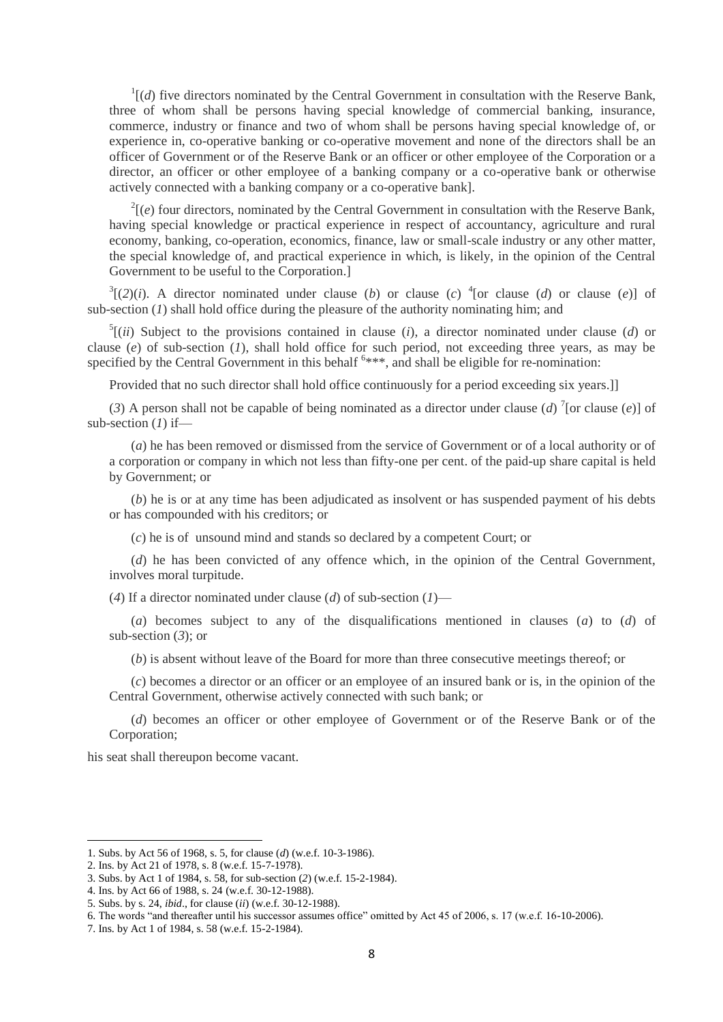$\Gamma$ [(*d*) five directors nominated by the Central Government in consultation with the Reserve Bank, three of whom shall be persons having special knowledge of commercial banking, insurance, commerce, industry or finance and two of whom shall be persons having special knowledge of, or experience in, co-operative banking or co-operative movement and none of the directors shall be an officer of Government or of the Reserve Bank or an officer or other employee of the Corporation or a director, an officer or other employee of a banking company or a co-operative bank or otherwise actively connected with a banking company or a co-operative bank].

 $2\ell(e)$  four directors, nominated by the Central Government in consultation with the Reserve Bank, having special knowledge or practical experience in respect of accountancy, agriculture and rural economy, banking, co-operation, economics, finance, law or small-scale industry or any other matter, the special knowledge of, and practical experience in which, is likely, in the opinion of the Central Government to be useful to the Corporation.]

 $3[(2)(i)$ . A director nominated under clause (*b*) or clause (*c*) <sup>4</sup>[or clause (*d*) or clause (*e*)] of sub-section (*1*) shall hold office during the pleasure of the authority nominating him; and

 $^5$ [(*ii*) Subject to the provisions contained in clause (*i*), a director nominated under clause (*d*) or clause (*e*) of sub-section (*1*), shall hold office for such period, not exceeding three years, as may be specified by the Central Government in this behalf <sup>6\*\*\*</sup>, and shall be eligible for re-nomination:

Provided that no such director shall hold office continuously for a period exceeding six years.]]

(3) A person shall not be capable of being nominated as a director under clause (*d*)<sup>7</sup>[or clause (*e*)] of sub-section (*1*) if—

(*a*) he has been removed or dismissed from the service of Government or of a local authority or of a corporation or company in which not less than fifty-one per cent. of the paid-up share capital is held by Government; or

(*b*) he is or at any time has been adjudicated as insolvent or has suspended payment of his debts or has compounded with his creditors; or

(*c*) he is of unsound mind and stands so declared by a competent Court; or

(*d*) he has been convicted of any offence which, in the opinion of the Central Government, involves moral turpitude.

(*4*) If a director nominated under clause (*d*) of sub-section (*1*)—

(*a*) becomes subject to any of the disqualifications mentioned in clauses (*a*) to (*d*) of sub-section (*3*); or

(*b*) is absent without leave of the Board for more than three consecutive meetings thereof; or

(*c*) becomes a director or an officer or an employee of an insured bank or is, in the opinion of the Central Government, otherwise actively connected with such bank; or

(*d*) becomes an officer or other employee of Government or of the Reserve Bank or of the Corporation;

his seat shall thereupon become vacant.

<sup>1.</sup> Subs. by Act 56 of 1968, s. 5, for clause (*d*) (w.e.f. 10-3-1986).

<sup>2.</sup> Ins. by Act 21 of 1978, s. 8 (w.e.f. 15-7-1978).

<sup>3.</sup> Subs. by Act 1 of 1984, s. 58, for sub-section (*2*) (w.e.f. 15-2-1984).

<sup>4.</sup> Ins. by Act 66 of 1988, s. 24 (w.e.f. 30-12-1988).

<sup>5.</sup> Subs. by s. 24, *ibid*., for clause (*ii*) (w.e.f. 30-12-1988).

<sup>6.</sup> The words "and thereafter until his successor assumes office" omitted by Act 45 of 2006, s. 17 (w.e.f. 16-10-2006).

<sup>7.</sup> Ins. by Act 1 of 1984, s. 58 (w.e.f. 15-2-1984).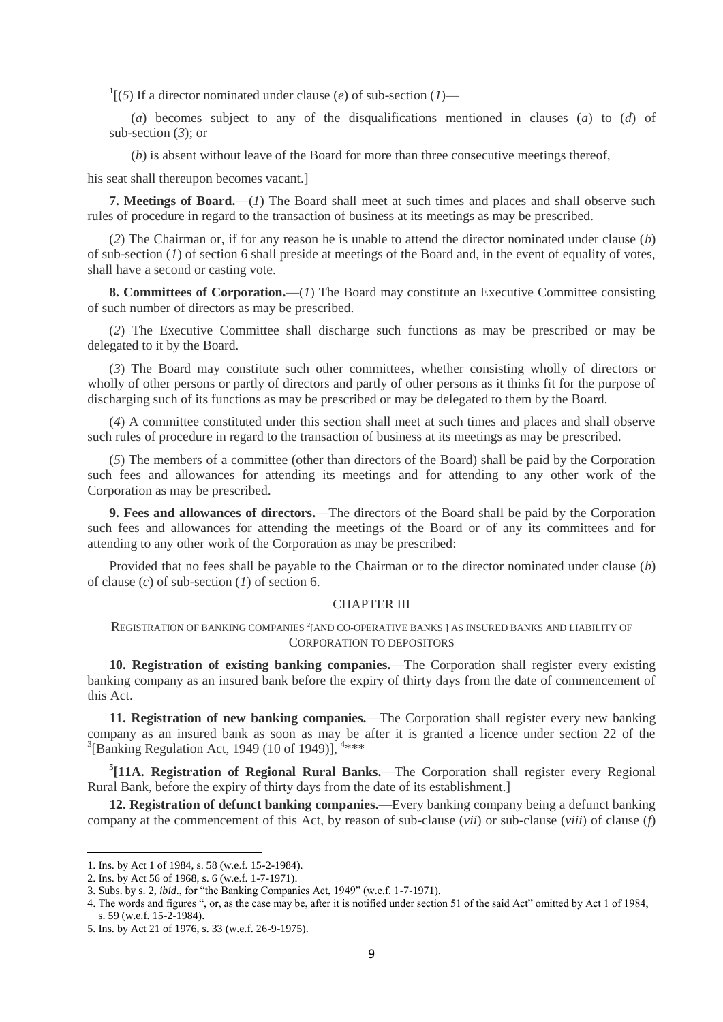<sup>1</sup>[(5) If a director nominated under clause (*e*) of sub-section (*1*)—

(*a*) becomes subject to any of the disqualifications mentioned in clauses (*a*) to (*d*) of sub-section (*3*); or

(*b*) is absent without leave of the Board for more than three consecutive meetings thereof,

his seat shall thereupon becomes vacant.]

**7. Meetings of Board.**—(*1*) The Board shall meet at such times and places and shall observe such rules of procedure in regard to the transaction of business at its meetings as may be prescribed.

(*2*) The Chairman or, if for any reason he is unable to attend the director nominated under clause (*b*) of sub-section (*1*) of section 6 shall preside at meetings of the Board and, in the event of equality of votes, shall have a second or casting vote.

**8. Committees of Corporation.**—(*1*) The Board may constitute an Executive Committee consisting of such number of directors as may be prescribed.

(*2*) The Executive Committee shall discharge such functions as may be prescribed or may be delegated to it by the Board.

(*3*) The Board may constitute such other committees, whether consisting wholly of directors or wholly of other persons or partly of directors and partly of other persons as it thinks fit for the purpose of discharging such of its functions as may be prescribed or may be delegated to them by the Board.

(*4*) A committee constituted under this section shall meet at such times and places and shall observe such rules of procedure in regard to the transaction of business at its meetings as may be prescribed.

(*5*) The members of a committee (other than directors of the Board) shall be paid by the Corporation such fees and allowances for attending its meetings and for attending to any other work of the Corporation as may be prescribed.

**9. Fees and allowances of directors.**—The directors of the Board shall be paid by the Corporation such fees and allowances for attending the meetings of the Board or of any its committees and for attending to any other work of the Corporation as may be prescribed:

Provided that no fees shall be payable to the Chairman or to the director nominated under clause (*b*) of clause (*c*) of sub-section (*1*) of section 6.

## CHAPTER III

REGISTRATION OF BANKING COMPANIES<sup>2</sup> [AND CO-OPERATIVE BANKS] AS INSURED BANKS AND LIABILITY OF CORPORATION TO DEPOSITORS

**10. Registration of existing banking companies.**—The Corporation shall register every existing banking company as an insured bank before the expiry of thirty days from the date of commencement of this Act.

**11. Registration of new banking companies.**—The Corporation shall register every new banking company as an insured bank as soon as may be after it is granted a licence under section 22 of the <sup>3</sup>[Banking Regulation Act, 1949 (10 of 1949)],  $4***$ 

**5 [11A. Registration of Regional Rural Banks.**—The Corporation shall register every Regional Rural Bank, before the expiry of thirty days from the date of its establishment.]

**12. Registration of defunct banking companies.**—Every banking company being a defunct banking company at the commencement of this Act, by reason of sub-clause (*vii*) or sub-clause (*viii*) of clause (*f*)

<sup>1.</sup> Ins. by Act 1 of 1984, s. 58 (w.e.f. 15-2-1984).

<sup>2.</sup> Ins. by Act 56 of 1968, s. 6 (w.e.f. 1-7-1971).

<sup>3.</sup> Subs. by s. 2, *ibid*., for "the Banking Companies Act, 1949" (w.e.f. 1-7-1971).

<sup>4.</sup> The words and figures ", or, as the case may be, after it is notified under section 51 of the said Act" omitted by Act 1 of 1984, s. 59 (w.e.f. 15-2-1984).

<sup>5.</sup> Ins. by Act 21 of 1976, s. 33 (w.e.f. 26-9-1975).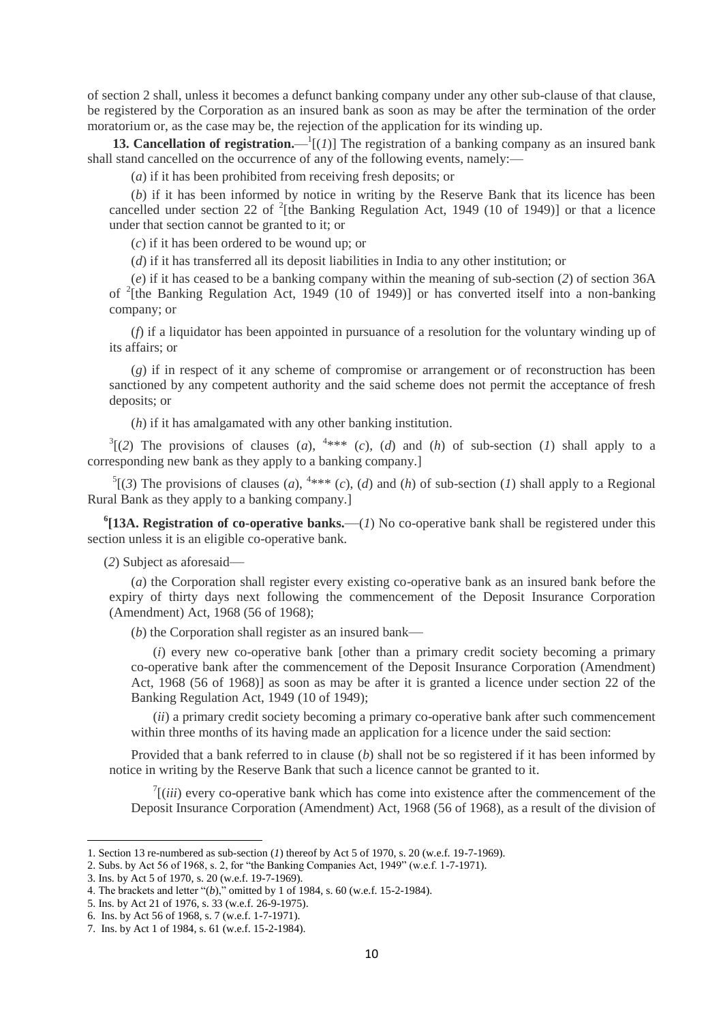of section 2 shall, unless it becomes a defunct banking company under any other sub-clause of that clause, be registered by the Corporation as an insured bank as soon as may be after the termination of the order moratorium or, as the case may be, the rejection of the application for its winding up.

**13. Cancellation of registration.**— $\frac{1}{l}(l)$ ] The registration of a banking company as an insured bank shall stand cancelled on the occurrence of any of the following events, namely:—

(*a*) if it has been prohibited from receiving fresh deposits; or

(*b*) if it has been informed by notice in writing by the Reserve Bank that its licence has been cancelled under section 22 of  $2$ <sup>2</sup>[the Banking Regulation Act, 1949 (10 of 1949)] or that a licence under that section cannot be granted to it; or

(*c*) if it has been ordered to be wound up; or

(*d*) if it has transferred all its deposit liabilities in India to any other institution; or

(*e*) if it has ceased to be a banking company within the meaning of sub-section (*2*) of section 36A of <sup>2</sup>[the Banking Regulation Act, 1949 (10 of 1949)] or has converted itself into a non-banking company; or

(*f*) if a liquidator has been appointed in pursuance of a resolution for the voluntary winding up of its affairs; or

(*g*) if in respect of it any scheme of compromise or arrangement or of reconstruction has been sanctioned by any competent authority and the said scheme does not permit the acceptance of fresh deposits; or

(*h*) if it has amalgamated with any other banking institution.

 $3(2)$  The provisions of clauses (*a*), <sup>4\*\*\*</sup> (*c*), (*d*) and (*h*) of sub-section (*1*) shall apply to a corresponding new bank as they apply to a banking company.]

 ${}^5(3)$  The provisions of clauses (*a*),  ${}^{4***}(c)$ , (*d*) and (*h*) of sub-section (*1*) shall apply to a Regional Rural Bank as they apply to a banking company.]

**6 [13A. Registration of co-operative banks.**—(*1*) No co-operative bank shall be registered under this section unless it is an eligible co-operative bank.

(*2*) Subject as aforesaid—

(*a*) the Corporation shall register every existing co-operative bank as an insured bank before the expiry of thirty days next following the commencement of the Deposit Insurance Corporation (Amendment) Act, 1968 (56 of 1968);

(*b*) the Corporation shall register as an insured bank—

(*i*) every new co-operative bank [other than a primary credit society becoming a primary co-operative bank after the commencement of the Deposit Insurance Corporation (Amendment) Act, 1968 (56 of 1968)] as soon as may be after it is granted a licence under section 22 of the Banking Regulation Act, 1949 (10 of 1949);

(*ii*) a primary credit society becoming a primary co-operative bank after such commencement within three months of its having made an application for a licence under the said section:

Provided that a bank referred to in clause (*b*) shall not be so registered if it has been informed by notice in writing by the Reserve Bank that such a licence cannot be granted to it.

 $\int$ <sup>7</sup>[(*iii*) every co-operative bank which has come into existence after the commencement of the Deposit Insurance Corporation (Amendment) Act, 1968 (56 of 1968), as a result of the division of

<sup>1.</sup> Section 13 re-numbered as sub-section (*1*) thereof by Act 5 of 1970, s. 20 (w.e.f. 19-7-1969).

<sup>2.</sup> Subs. by Act 56 of 1968, s. 2, for "the Banking Companies Act, 1949" (w.e.f. 1-7-1971).

<sup>3.</sup> Ins. by Act 5 of 1970, s. 20 (w.e.f. 19-7-1969).

<sup>4.</sup> The brackets and letter "(*b*)," omitted by 1 of 1984, s. 60 (w.e.f. 15-2-1984).

<sup>5.</sup> Ins. by Act 21 of 1976, s. 33 (w.e.f. 26-9-1975).

<sup>6.</sup> Ins. by Act 56 of 1968, s. 7 (w.e.f. 1-7-1971).

<sup>7.</sup> Ins. by Act 1 of 1984, s. 61 (w.e.f. 15-2-1984).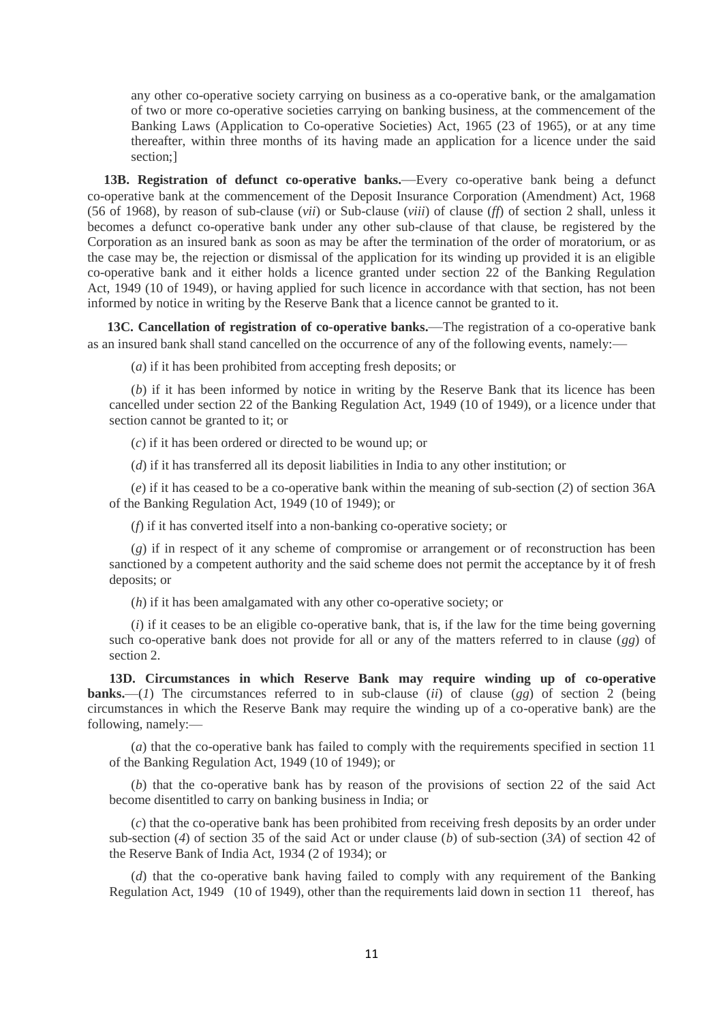any other co-operative society carrying on business as a co-operative bank, or the amalgamation of two or more co-operative societies carrying on banking business, at the commencement of the Banking Laws (Application to Co-operative Societies) Act, 1965 (23 of 1965), or at any time thereafter, within three months of its having made an application for a licence under the said section;]

**13B. Registration of defunct co-operative banks.**—Every co-operative bank being a defunct co-operative bank at the commencement of the Deposit Insurance Corporation (Amendment) Act, 1968 (56 of 1968), by reason of sub-clause (*vii*) or Sub-clause (*viii*) of clause (*ff*) of section 2 shall, unless it becomes a defunct co-operative bank under any other sub-clause of that clause, be registered by the Corporation as an insured bank as soon as may be after the termination of the order of moratorium, or as the case may be, the rejection or dismissal of the application for its winding up provided it is an eligible co-operative bank and it either holds a licence granted under section 22 of the Banking Regulation Act, 1949 (10 of 1949), or having applied for such licence in accordance with that section, has not been informed by notice in writing by the Reserve Bank that a licence cannot be granted to it.

**13C. Cancellation of registration of co-operative banks.**—The registration of a co-operative bank as an insured bank shall stand cancelled on the occurrence of any of the following events, namely:—

(*a*) if it has been prohibited from accepting fresh deposits; or

(*b*) if it has been informed by notice in writing by the Reserve Bank that its licence has been cancelled under section 22 of the Banking Regulation Act, 1949 (10 of 1949), or a licence under that section cannot be granted to it; or

(*c*) if it has been ordered or directed to be wound up; or

(*d*) if it has transferred all its deposit liabilities in India to any other institution; or

(*e*) if it has ceased to be a co-operative bank within the meaning of sub-section (*2*) of section 36A of the Banking Regulation Act, 1949 (10 of 1949); or

(*f*) if it has converted itself into a non-banking co-operative society; or

(*g*) if in respect of it any scheme of compromise or arrangement or of reconstruction has been sanctioned by a competent authority and the said scheme does not permit the acceptance by it of fresh deposits; or

(*h*) if it has been amalgamated with any other co-operative society; or

(*i*) if it ceases to be an eligible co-operative bank, that is, if the law for the time being governing such co-operative bank does not provide for all or any of the matters referred to in clause (*gg*) of section 2.

**13D. Circumstances in which Reserve Bank may require winding up of co-operative banks.**—(*1*) The circumstances referred to in sub-clause (*ii*) of clause (*gg*) of section 2 (being circumstances in which the Reserve Bank may require the winding up of a co-operative bank) are the following, namely:—

(*a*) that the co-operative bank has failed to comply with the requirements specified in section 11 of the Banking Regulation Act, 1949 (10 of 1949); or

(*b*) that the co-operative bank has by reason of the provisions of section 22 of the said Act become disentitled to carry on banking business in India; or

(*c*) that the co-operative bank has been prohibited from receiving fresh deposits by an order under sub-section (*4*) of section 35 of the said Act or under clause (*b*) of sub-section (*3A*) of section 42 of the Reserve Bank of India Act, 1934 (2 of 1934); or

(*d*) that the co-operative bank having failed to comply with any requirement of the Banking Regulation Act, 1949 (10 of 1949), other than the requirements laid down in section 11 thereof, has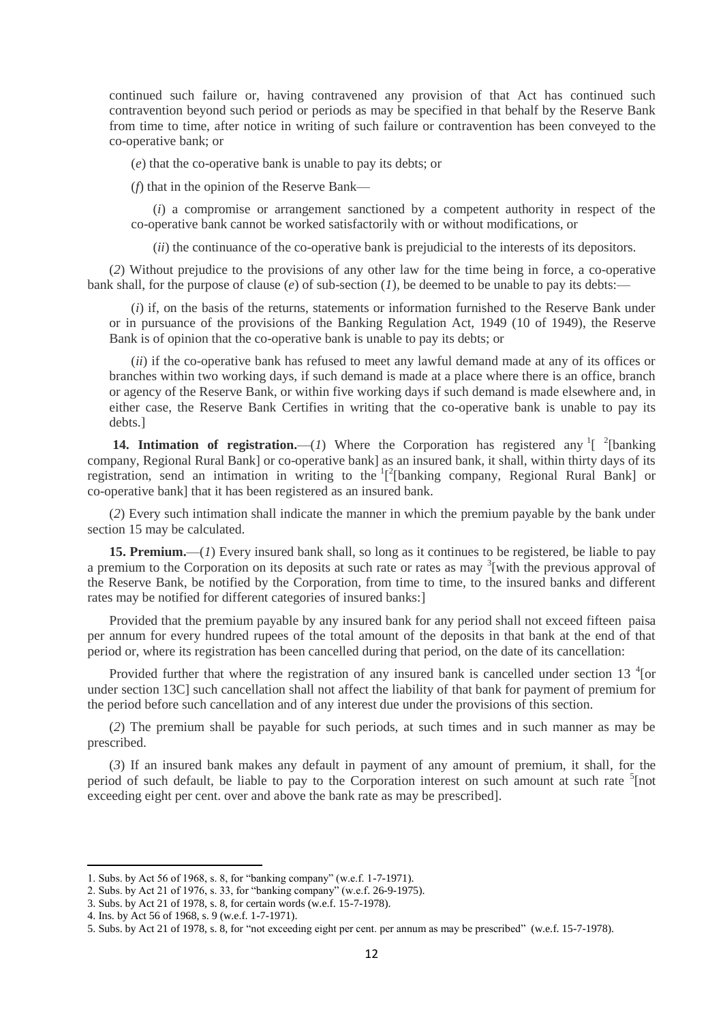continued such failure or, having contravened any provision of that Act has continued such contravention beyond such period or periods as may be specified in that behalf by the Reserve Bank from time to time, after notice in writing of such failure or contravention has been conveyed to the co-operative bank; or

(*e*) that the co-operative bank is unable to pay its debts; or

(*f*) that in the opinion of the Reserve Bank—

(*i*) a compromise or arrangement sanctioned by a competent authority in respect of the co-operative bank cannot be worked satisfactorily with or without modifications, or

(*ii*) the continuance of the co-operative bank is prejudicial to the interests of its depositors.

(*2*) Without prejudice to the provisions of any other law for the time being in force, a co-operative bank shall, for the purpose of clause  $(e)$  of sub-section  $(1)$ , be deemed to be unable to pay its debts:-

(*i*) if, on the basis of the returns, statements or information furnished to the Reserve Bank under or in pursuance of the provisions of the Banking Regulation Act, 1949 (10 of 1949), the Reserve Bank is of opinion that the co-operative bank is unable to pay its debts; or

(*ii*) if the co-operative bank has refused to meet any lawful demand made at any of its offices or branches within two working days, if such demand is made at a place where there is an office, branch or agency of the Reserve Bank, or within five working days if such demand is made elsewhere and, in either case, the Reserve Bank Certifies in writing that the co-operative bank is unable to pay its debts.]

**14. Intimation of registration.**—(*1*) Where the Corporation has registered any  $\frac{1}{2}$  [banking] company, Regional Rural Bank] or co-operative bank] as an insured bank, it shall, within thirty days of its registration, send an intimation in writing to the  $\lceil \frac{1}{2} \rceil$  [banking company, Regional Rural Bank] or co-operative bank] that it has been registered as an insured bank.

(*2*) Every such intimation shall indicate the manner in which the premium payable by the bank under section 15 may be calculated.

**15. Premium.**—(*1*) Every insured bank shall, so long as it continues to be registered, be liable to pay a premium to the Corporation on its deposits at such rate or rates as may <sup>3</sup>[with the previous approval of the Reserve Bank, be notified by the Corporation, from time to time, to the insured banks and different rates may be notified for different categories of insured banks:]

Provided that the premium payable by any insured bank for any period shall not exceed fifteen paisa per annum for every hundred rupees of the total amount of the deposits in that bank at the end of that period or, where its registration has been cancelled during that period, on the date of its cancellation:

Provided further that where the registration of any insured bank is cancelled under section 13 $\textsuperscript{4}$  [or under section 13C] such cancellation shall not affect the liability of that bank for payment of premium for the period before such cancellation and of any interest due under the provisions of this section.

(*2*) The premium shall be payable for such periods, at such times and in such manner as may be prescribed.

(*3*) If an insured bank makes any default in payment of any amount of premium, it shall, for the period of such default, be liable to pay to the Corporation interest on such amount at such rate <sup>5</sup>[not exceeding eight per cent. over and above the bank rate as may be prescribed].

<sup>1.</sup> Subs. by Act 56 of 1968, s. 8, for "banking company" (w.e.f. 1-7-1971).

<sup>2.</sup> Subs. by Act 21 of 1976, s. 33, for "banking company" (w.e.f. 26-9-1975).

<sup>3.</sup> Subs. by Act 21 of 1978, s. 8, for certain words (w.e.f. 15-7-1978).

<sup>4.</sup> Ins. by Act 56 of 1968, s. 9 (w.e.f. 1-7-1971).

<sup>5.</sup> Subs. by Act 21 of 1978, s. 8, for "not exceeding eight per cent. per annum as may be prescribed" (w.e.f. 15-7-1978).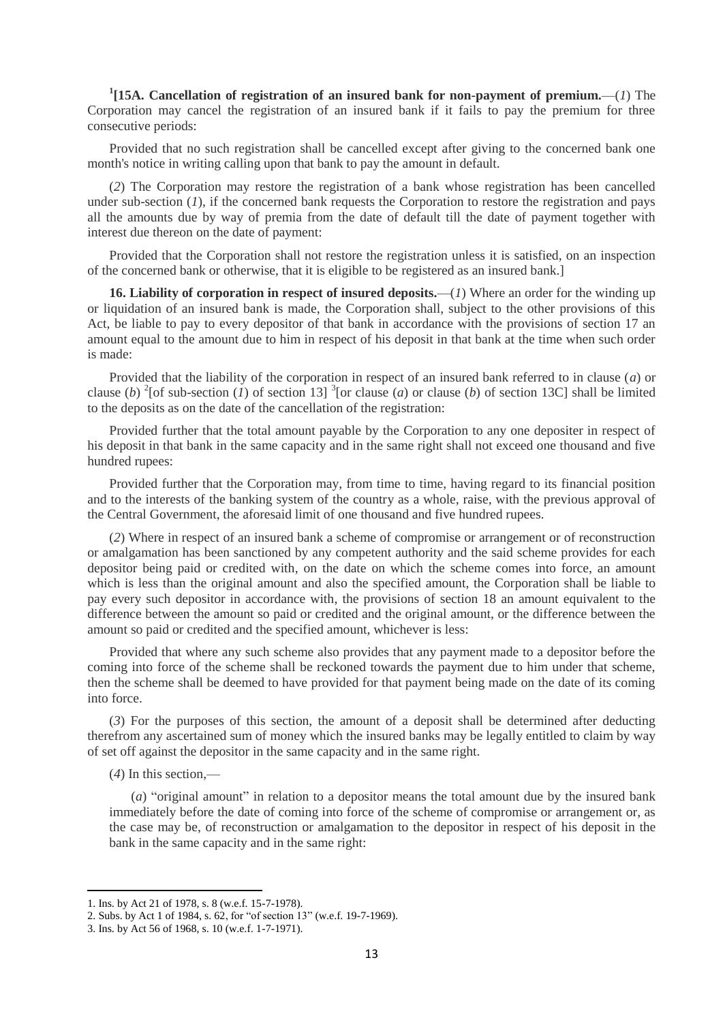**1 [15A. Cancellation of registration of an insured bank for non-payment of premium.**—(*1*) The Corporation may cancel the registration of an insured bank if it fails to pay the premium for three consecutive periods:

Provided that no such registration shall be cancelled except after giving to the concerned bank one month's notice in writing calling upon that bank to pay the amount in default.

(*2*) The Corporation may restore the registration of a bank whose registration has been cancelled under sub-section (*1*), if the concerned bank requests the Corporation to restore the registration and pays all the amounts due by way of premia from the date of default till the date of payment together with interest due thereon on the date of payment:

Provided that the Corporation shall not restore the registration unless it is satisfied, on an inspection of the concerned bank or otherwise, that it is eligible to be registered as an insured bank.]

**16. Liability of corporation in respect of insured deposits.**—(*1*) Where an order for the winding up or liquidation of an insured bank is made, the Corporation shall, subject to the other provisions of this Act, be liable to pay to every depositor of that bank in accordance with the provisions of section 17 an amount equal to the amount due to him in respect of his deposit in that bank at the time when such order is made:

Provided that the liability of the corporation in respect of an insured bank referred to in clause (*a*) or clause (*b*) <sup>2</sup>[of sub-section (*l*) of section 13] <sup>3</sup>[or clause (*a*) or clause (*b*) of section 13C] shall be limited to the deposits as on the date of the cancellation of the registration:

Provided further that the total amount payable by the Corporation to any one depositer in respect of his deposit in that bank in the same capacity and in the same right shall not exceed one thousand and five hundred rupees:

Provided further that the Corporation may, from time to time, having regard to its financial position and to the interests of the banking system of the country as a whole, raise, with the previous approval of the Central Government, the aforesaid limit of one thousand and five hundred rupees.

(*2*) Where in respect of an insured bank a scheme of compromise or arrangement or of reconstruction or amalgamation has been sanctioned by any competent authority and the said scheme provides for each depositor being paid or credited with, on the date on which the scheme comes into force, an amount which is less than the original amount and also the specified amount, the Corporation shall be liable to pay every such depositor in accordance with, the provisions of section 18 an amount equivalent to the difference between the amount so paid or credited and the original amount, or the difference between the amount so paid or credited and the specified amount, whichever is less:

Provided that where any such scheme also provides that any payment made to a depositor before the coming into force of the scheme shall be reckoned towards the payment due to him under that scheme, then the scheme shall be deemed to have provided for that payment being made on the date of its coming into force.

(*3*) For the purposes of this section, the amount of a deposit shall be determined after deducting therefrom any ascertained sum of money which the insured banks may be legally entitled to claim by way of set off against the depositor in the same capacity and in the same right.

(*4*) In this section,—

**.** 

(*a*) "original amount" in relation to a depositor means the total amount due by the insured bank immediately before the date of coming into force of the scheme of compromise or arrangement or, as the case may be, of reconstruction or amalgamation to the depositor in respect of his deposit in the bank in the same capacity and in the same right:

<sup>1.</sup> Ins. by Act 21 of 1978, s. 8 (w.e.f. 15-7-1978).

<sup>2.</sup> Subs. by Act 1 of 1984, s. 62, for "of section 13" (w.e.f. 19-7-1969).

<sup>3.</sup> Ins. by Act 56 of 1968, s. 10 (w.e.f. 1-7-1971).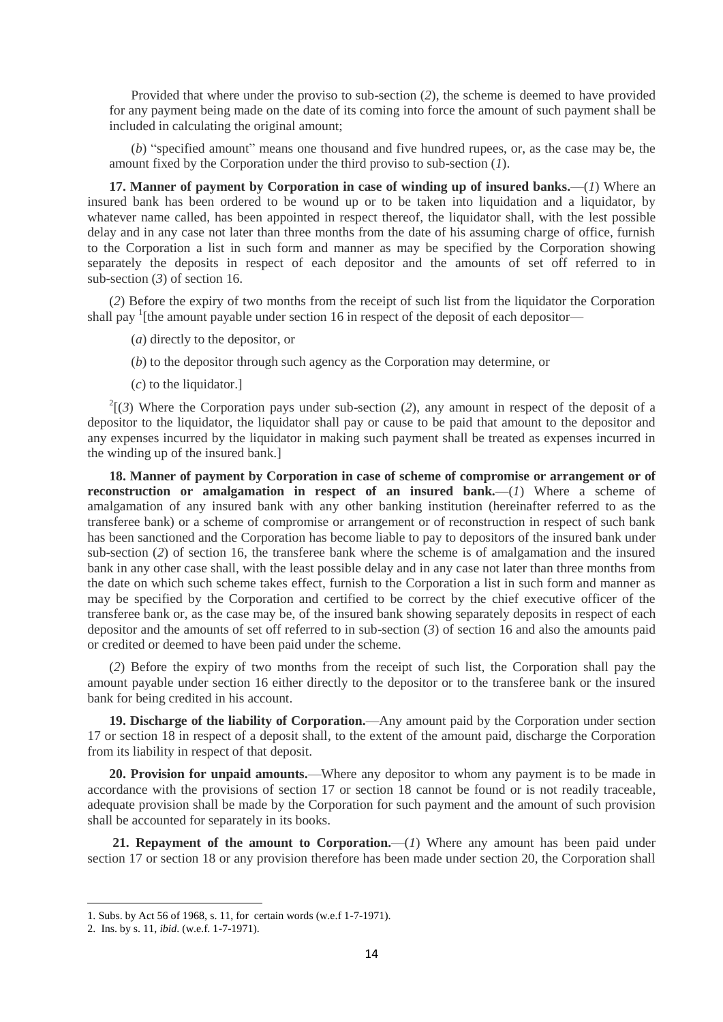Provided that where under the proviso to sub-section (*2*), the scheme is deemed to have provided for any payment being made on the date of its coming into force the amount of such payment shall be included in calculating the original amount;

(*b*) "specified amount" means one thousand and five hundred rupees, or, as the case may be, the amount fixed by the Corporation under the third proviso to sub-section (*1*).

**17. Manner of payment by Corporation in case of winding up of insured banks.**—(*1*) Where an insured bank has been ordered to be wound up or to be taken into liquidation and a liquidator, by whatever name called, has been appointed in respect thereof, the liquidator shall, with the lest possible delay and in any case not later than three months from the date of his assuming charge of office, furnish to the Corporation a list in such form and manner as may be specified by the Corporation showing separately the deposits in respect of each depositor and the amounts of set off referred to in sub-section (*3*) of section 16.

(*2*) Before the expiry of two months from the receipt of such list from the liquidator the Corporation shall pay <sup>1</sup>[the amount payable under section 16 in respect of the deposit of each depositor—

- (*a*) directly to the depositor, or
- (*b*) to the depositor through such agency as the Corporation may determine, or
- (*c*) to the liquidator.]

 $2^{2}$ [(3) Where the Corporation pays under sub-section (2), any amount in respect of the deposit of a depositor to the liquidator, the liquidator shall pay or cause to be paid that amount to the depositor and any expenses incurred by the liquidator in making such payment shall be treated as expenses incurred in the winding up of the insured bank.]

**18. Manner of payment by Corporation in case of scheme of compromise or arrangement or of reconstruction or amalgamation in respect of an insured bank.**—(*1*) Where a scheme of amalgamation of any insured bank with any other banking institution (hereinafter referred to as the transferee bank) or a scheme of compromise or arrangement or of reconstruction in respect of such bank has been sanctioned and the Corporation has become liable to pay to depositors of the insured bank under sub-section (*2*) of section 16, the transferee bank where the scheme is of amalgamation and the insured bank in any other case shall, with the least possible delay and in any case not later than three months from the date on which such scheme takes effect, furnish to the Corporation a list in such form and manner as may be specified by the Corporation and certified to be correct by the chief executive officer of the transferee bank or, as the case may be, of the insured bank showing separately deposits in respect of each depositor and the amounts of set off referred to in sub-section (*3*) of section 16 and also the amounts paid or credited or deemed to have been paid under the scheme.

(*2*) Before the expiry of two months from the receipt of such list, the Corporation shall pay the amount payable under section 16 either directly to the depositor or to the transferee bank or the insured bank for being credited in his account.

**19. Discharge of the liability of Corporation.**—Any amount paid by the Corporation under section 17 or section 18 in respect of a deposit shall, to the extent of the amount paid, discharge the Corporation from its liability in respect of that deposit.

**20. Provision for unpaid amounts.**—Where any depositor to whom any payment is to be made in accordance with the provisions of section 17 or section 18 cannot be found or is not readily traceable, adequate provision shall be made by the Corporation for such payment and the amount of such provision shall be accounted for separately in its books.

21. Repayment of the amount to Corporation.—(*1*) Where any amount has been paid under section 17 or section 18 or any provision therefore has been made under section 20, the Corporation shall

<sup>1.</sup> Subs. by Act 56 of 1968, s. 11, for certain words (w.e.f 1-7-1971).

<sup>2.</sup> Ins. by s. 11, *ibid*. (w.e.f. 1-7-1971).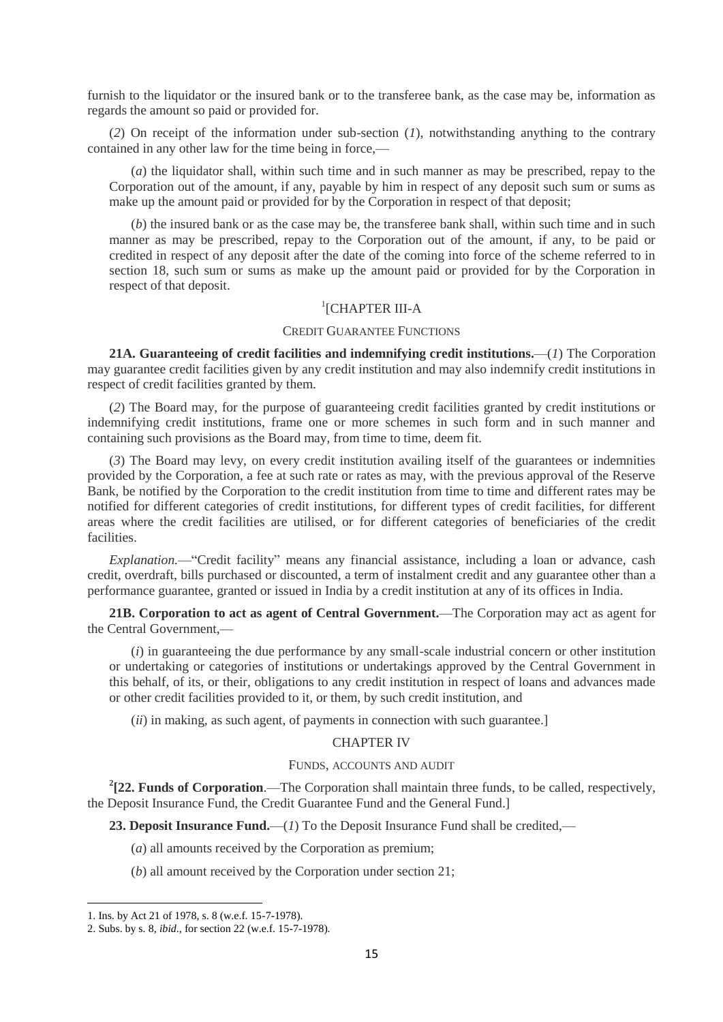furnish to the liquidator or the insured bank or to the transferee bank, as the case may be, information as regards the amount so paid or provided for.

(*2*) On receipt of the information under sub-section (*1*), notwithstanding anything to the contrary contained in any other law for the time being in force,—

(*a*) the liquidator shall, within such time and in such manner as may be prescribed, repay to the Corporation out of the amount, if any, payable by him in respect of any deposit such sum or sums as make up the amount paid or provided for by the Corporation in respect of that deposit;

(*b*) the insured bank or as the case may be, the transferee bank shall, within such time and in such manner as may be prescribed, repay to the Corporation out of the amount, if any, to be paid or credited in respect of any deposit after the date of the coming into force of the scheme referred to in section 18, such sum or sums as make up the amount paid or provided for by the Corporation in respect of that deposit.

# 1 [CHAPTER III-A

## CREDIT GUARANTEE FUNCTIONS

**21A. Guaranteeing of credit facilities and indemnifying credit institutions.**—(*1*) The Corporation may guarantee credit facilities given by any credit institution and may also indemnify credit institutions in respect of credit facilities granted by them.

(*2*) The Board may, for the purpose of guaranteeing credit facilities granted by credit institutions or indemnifying credit institutions, frame one or more schemes in such form and in such manner and containing such provisions as the Board may, from time to time, deem fit.

(*3*) The Board may levy, on every credit institution availing itself of the guarantees or indemnities provided by the Corporation, a fee at such rate or rates as may, with the previous approval of the Reserve Bank, be notified by the Corporation to the credit institution from time to time and different rates may be notified for different categories of credit institutions, for different types of credit facilities, for different areas where the credit facilities are utilised, or for different categories of beneficiaries of the credit facilities.

*Explanation.*—"Credit facility" means any financial assistance, including a loan or advance, cash credit, overdraft, bills purchased or discounted, a term of instalment credit and any guarantee other than a performance guarantee, granted or issued in India by a credit institution at any of its offices in India.

**21B. Corporation to act as agent of Central Government.**—The Corporation may act as agent for the Central Government,—

(*i*) in guaranteeing the due performance by any small-scale industrial concern or other institution or undertaking or categories of institutions or undertakings approved by the Central Government in this behalf, of its, or their, obligations to any credit institution in respect of loans and advances made or other credit facilities provided to it, or them, by such credit institution, and

(*ii*) in making, as such agent, of payments in connection with such guarantee.]

#### CHAPTER IV

### FUNDS, ACCOUNTS AND AUDIT

**2 [22. Funds of Corporation**.—The Corporation shall maintain three funds, to be called, respectively, the Deposit Insurance Fund, the Credit Guarantee Fund and the General Fund.]

**23. Deposit Insurance Fund.**—(*1*) To the Deposit Insurance Fund shall be credited,—

- (*a*) all amounts received by the Corporation as premium;
- (*b*) all amount received by the Corporation under section 21;

<sup>1.</sup> Ins. by Act 21 of 1978, s. 8 (w.e.f. 15-7-1978).

<sup>2.</sup> Subs. by s. 8, *ibid*., for section 22 (w.e.f. 15-7-1978).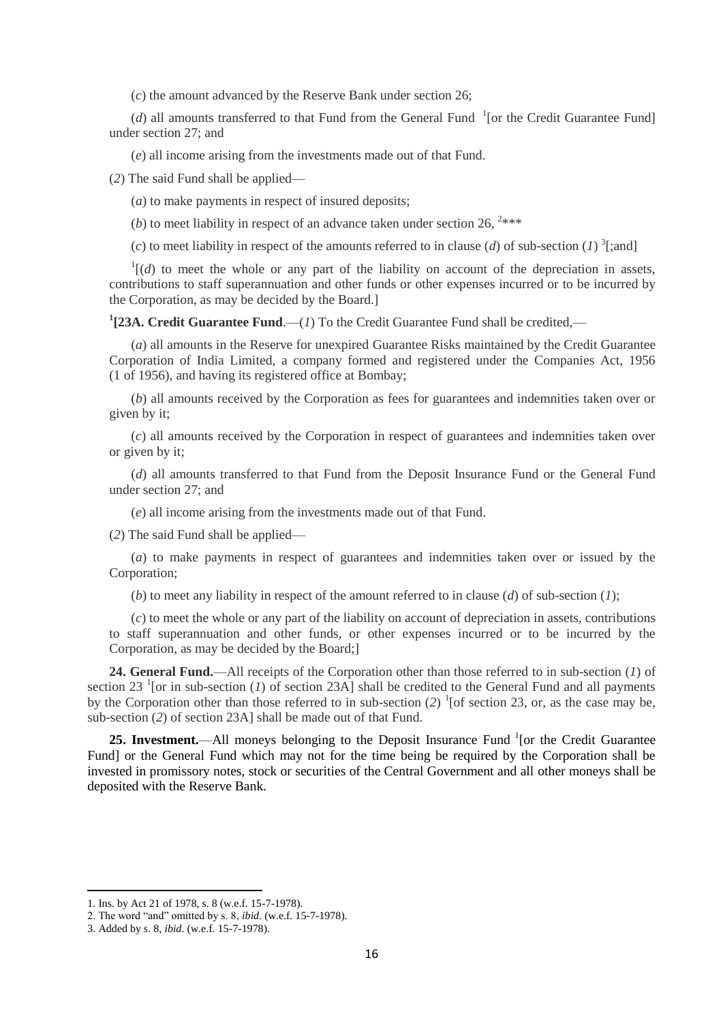(*c*) the amount advanced by the Reserve Bank under section 26;

( $d$ ) all amounts transferred to that Fund from the General Fund  $\frac{1}{1}$  [or the Credit Guarantee Fund] under section 27; and

(*e*) all income arising from the investments made out of that Fund.

(*2*) The said Fund shall be applied—

(*a*) to make payments in respect of insured deposits;

(*b*) to meet liability in respect of an advance taken under section 26,  $2***$ 

(*c*) to meet liability in respect of the amounts referred to in clause (*d*) of sub-section (*1*) <sup>3</sup>[;and]

 $\frac{1}{d}$  (*d*) to meet the whole or any part of the liability on account of the depreciation in assets, contributions to staff superannuation and other funds or other expenses incurred or to be incurred by the Corporation, as may be decided by the Board.]

<sup>1</sup>[23A. Credit Guarantee Fund.—(1) To the Credit Guarantee Fund shall be credited,—

(*a*) all amounts in the Reserve for unexpired Guarantee Risks maintained by the Credit Guarantee Corporation of India Limited, a company formed and registered under the Companies Act, 1956 (1 of 1956), and having its registered office at Bombay;

(*b*) all amounts received by the Corporation as fees for guarantees and indemnities taken over or given by it;

(*c*) all amounts received by the Corporation in respect of guarantees and indemnities taken over or given by it;

(*d*) all amounts transferred to that Fund from the Deposit Insurance Fund or the General Fund under section 27; and

(*e*) all income arising from the investments made out of that Fund.

(*2*) The said Fund shall be applied—

(*a*) to make payments in respect of guarantees and indemnities taken over or issued by the Corporation;

(*b*) to meet any liability in respect of the amount referred to in clause (*d*) of sub-section (*1*);

(*c*) to meet the whole or any part of the liability on account of depreciation in assets, contributions to staff superannuation and other funds, or other expenses incurred or to be incurred by the Corporation, as may be decided by the Board;]

**24. General Fund.**—All receipts of the Corporation other than those referred to in sub-section (*1*) of section 23<sup>-1</sup> [or in sub-section  $(I)$  of section 23A] shall be credited to the General Fund and all payments by the Corporation other than those referred to in sub-section (*2*) 1 [of section 23, or, as the case may be, sub-section (*2*) of section 23A] shall be made out of that Fund.

25. Investment.—All moneys belonging to the Deposit Insurance Fund <sup>1</sup>[or the Credit Guarantee Fund] or the General Fund which may not for the time being be required by the Corporation shall be invested in promissory notes, stock or securities of the Central Government and all other moneys shall be deposited with the Reserve Bank.

<sup>1.</sup> Ins. by Act 21 of 1978, s. 8 (w.e.f. 15-7-1978).

<sup>2.</sup> The word "and" omitted by s. 8, *ibid*. (w.e.f. 15-7-1978).

<sup>3.</sup> Added by s. 8, *ibid*. (w.e.f. 15-7-1978).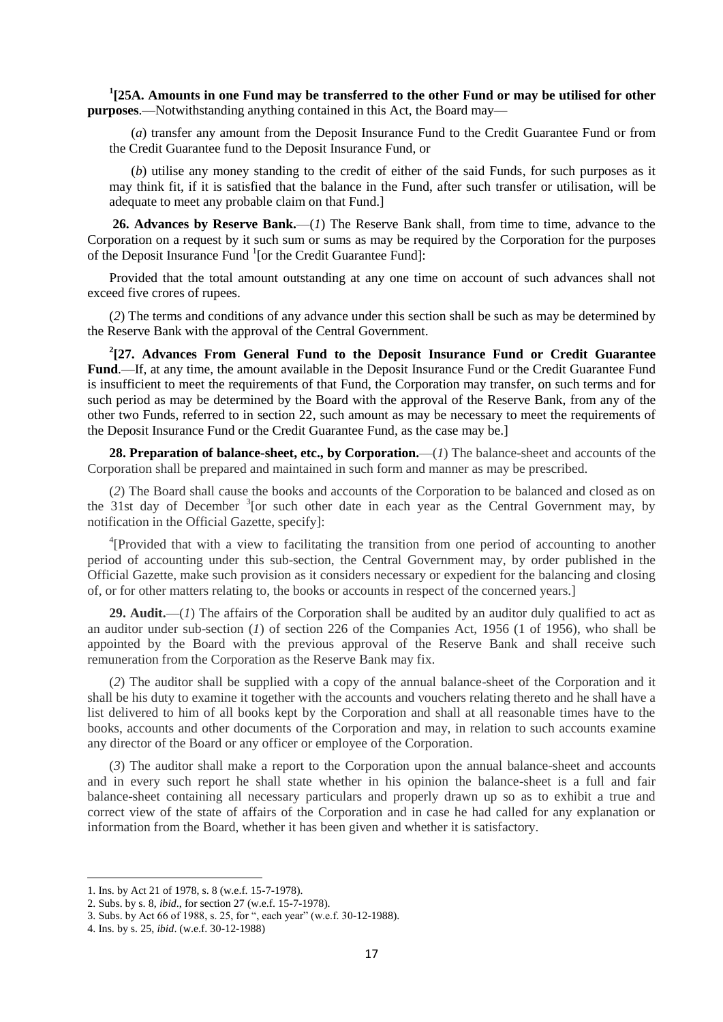**1 [25A. Amounts in one Fund may be transferred to the other Fund or may be utilised for other purposes**.—Notwithstanding anything contained in this Act, the Board may—

(*a*) transfer any amount from the Deposit Insurance Fund to the Credit Guarantee Fund or from the Credit Guarantee fund to the Deposit Insurance Fund, or

(*b*) utilise any money standing to the credit of either of the said Funds, for such purposes as it may think fit, if it is satisfied that the balance in the Fund, after such transfer or utilisation, will be adequate to meet any probable claim on that Fund.]

**26. Advances by Reserve Bank.**—(*1*) The Reserve Bank shall, from time to time, advance to the Corporation on a request by it such sum or sums as may be required by the Corporation for the purposes of the Deposit Insurance Fund <sup>1</sup>[or the Credit Guarantee Fund]:

Provided that the total amount outstanding at any one time on account of such advances shall not exceed five crores of rupees.

(*2*) The terms and conditions of any advance under this section shall be such as may be determined by the Reserve Bank with the approval of the Central Government.

**2 [27. Advances From General Fund to the Deposit Insurance Fund or Credit Guarantee Fund**.—If, at any time, the amount available in the Deposit Insurance Fund or the Credit Guarantee Fund is insufficient to meet the requirements of that Fund, the Corporation may transfer, on such terms and for such period as may be determined by the Board with the approval of the Reserve Bank, from any of the other two Funds, referred to in section 22, such amount as may be necessary to meet the requirements of the Deposit Insurance Fund or the Credit Guarantee Fund, as the case may be.]

**28. Preparation of balance-sheet, etc., by Corporation.**—(*1*) The balance-sheet and accounts of the Corporation shall be prepared and maintained in such form and manner as may be prescribed.

(*2*) The Board shall cause the books and accounts of the Corporation to be balanced and closed as on the 31st day of December  $3$ [or such other date in each year as the Central Government may, by notification in the Official Gazette, specify]:

<sup>4</sup>[Provided that with a view to facilitating the transition from one period of accounting to another period of accounting under this sub-section, the Central Government may, by order published in the Official Gazette, make such provision as it considers necessary or expedient for the balancing and closing of, or for other matters relating to, the books or accounts in respect of the concerned years.]

**29. Audit.**—(*1*) The affairs of the Corporation shall be audited by an auditor duly qualified to act as an auditor under sub-section (*1*) of section 226 of the Companies Act, 1956 (1 of 1956), who shall be appointed by the Board with the previous approval of the Reserve Bank and shall receive such remuneration from the Corporation as the Reserve Bank may fix.

(*2*) The auditor shall be supplied with a copy of the annual balance-sheet of the Corporation and it shall be his duty to examine it together with the accounts and vouchers relating thereto and he shall have a list delivered to him of all books kept by the Corporation and shall at all reasonable times have to the books, accounts and other documents of the Corporation and may, in relation to such accounts examine any director of the Board or any officer or employee of the Corporation.

(*3*) The auditor shall make a report to the Corporation upon the annual balance-sheet and accounts and in every such report he shall state whether in his opinion the balance-sheet is a full and fair balance-sheet containing all necessary particulars and properly drawn up so as to exhibit a true and correct view of the state of affairs of the Corporation and in case he had called for any explanation or information from the Board, whether it has been given and whether it is satisfactory.

<sup>1.</sup> Ins. by Act 21 of 1978, s. 8 (w.e.f. 15-7-1978).

<sup>2.</sup> Subs. by s. 8, *ibid*., for section 27 (w.e.f. 15-7-1978).

<sup>3.</sup> Subs. by Act 66 of 1988, s. 25, for ", each year" (w.e.f. 30-12-1988).

<sup>4.</sup> Ins. by s. 25, *ibid*. (w.e.f. 30-12-1988)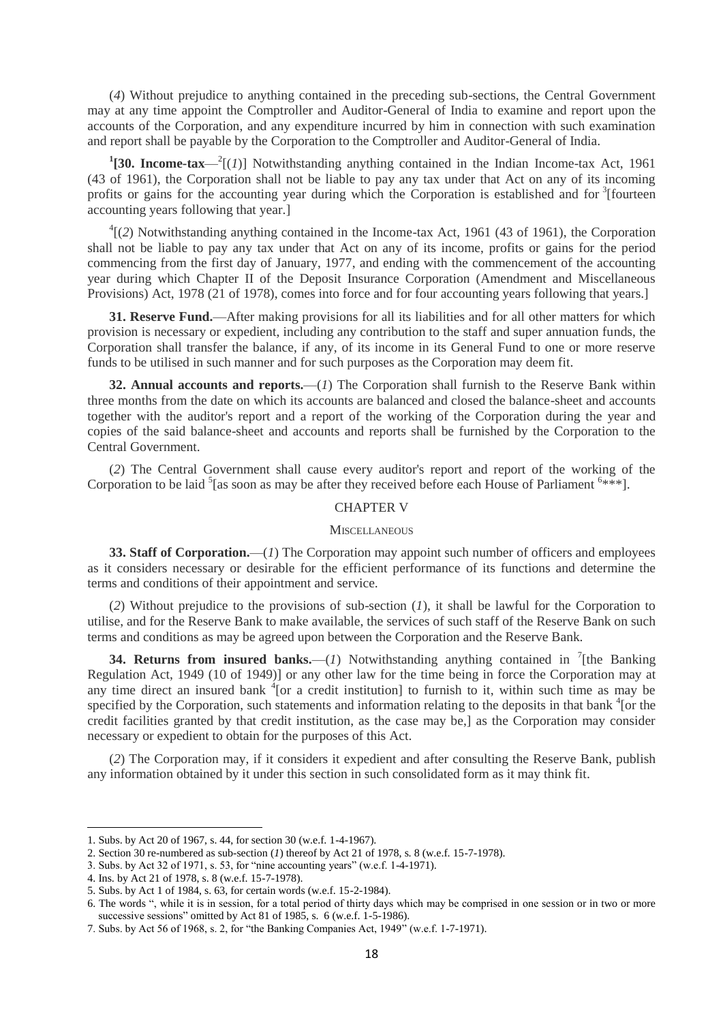(*4*) Without prejudice to anything contained in the preceding sub-sections, the Central Government may at any time appoint the Comptroller and Auditor-General of India to examine and report upon the accounts of the Corporation, and any expenditure incurred by him in connection with such examination and report shall be payable by the Corporation to the Comptroller and Auditor-General of India.

<sup>1</sup>[30. Income-tax— $^2$ [(*1*)] Notwithstanding anything contained in the Indian Income-tax Act, 1961 (43 of 1961), the Corporation shall not be liable to pay any tax under that Act on any of its incoming profits or gains for the accounting year during which the Corporation is established and for <sup>3</sup>[fourteen accounting years following that year.]

 ${}^{4}$ [(2) Notwithstanding anything contained in the Income-tax Act, 1961 (43 of 1961), the Corporation shall not be liable to pay any tax under that Act on any of its income, profits or gains for the period commencing from the first day of January, 1977, and ending with the commencement of the accounting year during which Chapter II of the Deposit Insurance Corporation (Amendment and Miscellaneous Provisions) Act, 1978 (21 of 1978), comes into force and for four accounting years following that years.]

**31. Reserve Fund.**—After making provisions for all its liabilities and for all other matters for which provision is necessary or expedient, including any contribution to the staff and super annuation funds, the Corporation shall transfer the balance, if any, of its income in its General Fund to one or more reserve funds to be utilised in such manner and for such purposes as the Corporation may deem fit.

**32. Annual accounts and reports.**—(*1*) The Corporation shall furnish to the Reserve Bank within three months from the date on which its accounts are balanced and closed the balance-sheet and accounts together with the auditor's report and a report of the working of the Corporation during the year and copies of the said balance-sheet and accounts and reports shall be furnished by the Corporation to the Central Government.

(*2*) The Central Government shall cause every auditor's report and report of the working of the Corporation to be laid  ${}^{5}$  [as soon as may be after they received before each House of Parliament  ${}^{6***}$ ].

#### CHAPTER V

#### **MISCELLANEOUS**

**33. Staff of Corporation.**—(*1*) The Corporation may appoint such number of officers and employees as it considers necessary or desirable for the efficient performance of its functions and determine the terms and conditions of their appointment and service.

(*2*) Without prejudice to the provisions of sub-section (*1*), it shall be lawful for the Corporation to utilise, and for the Reserve Bank to make available, the services of such staff of the Reserve Bank on such terms and conditions as may be agreed upon between the Corporation and the Reserve Bank.

**34. Returns from insured banks.**—(*1*) Notwithstanding anything contained in  $\int$ <sup>7</sup>[the Banking] Regulation Act, 1949 (10 of 1949)] or any other law for the time being in force the Corporation may at any time direct an insured bank <sup>4</sup>[or a credit institution] to furnish to it, within such time as may be specified by the Corporation, such statements and information relating to the deposits in that bank <sup>4</sup> [or the credit facilities granted by that credit institution, as the case may be,] as the Corporation may consider necessary or expedient to obtain for the purposes of this Act.

(*2*) The Corporation may, if it considers it expedient and after consulting the Reserve Bank, publish any information obtained by it under this section in such consolidated form as it may think fit.

 $\overline{a}$ 

<sup>1.</sup> Subs. by Act 20 of 1967, s. 44, for section 30 (w.e.f. 1-4-1967).

<sup>2.</sup> Section 30 re-numbered as sub-section (*1*) thereof by Act 21 of 1978, s. 8 (w.e.f. 15-7-1978).

<sup>3.</sup> Subs. by Act 32 of 1971, s. 53, for "nine accounting years" (w.e.f. 1-4-1971).

<sup>4.</sup> Ins. by Act 21 of 1978, s. 8 (w.e.f. 15-7-1978).

<sup>5.</sup> Subs. by Act 1 of 1984, s. 63, for certain words (w.e.f. 15-2-1984).

<sup>6.</sup> The words ", while it is in session, for a total period of thirty days which may be comprised in one session or in two or more successive sessions" omitted by Act 81 of 1985, s. 6 (w.e.f. 1-5-1986).

<sup>7.</sup> Subs. by Act 56 of 1968, s. 2, for "the Banking Companies Act, 1949" (w.e.f. 1-7-1971).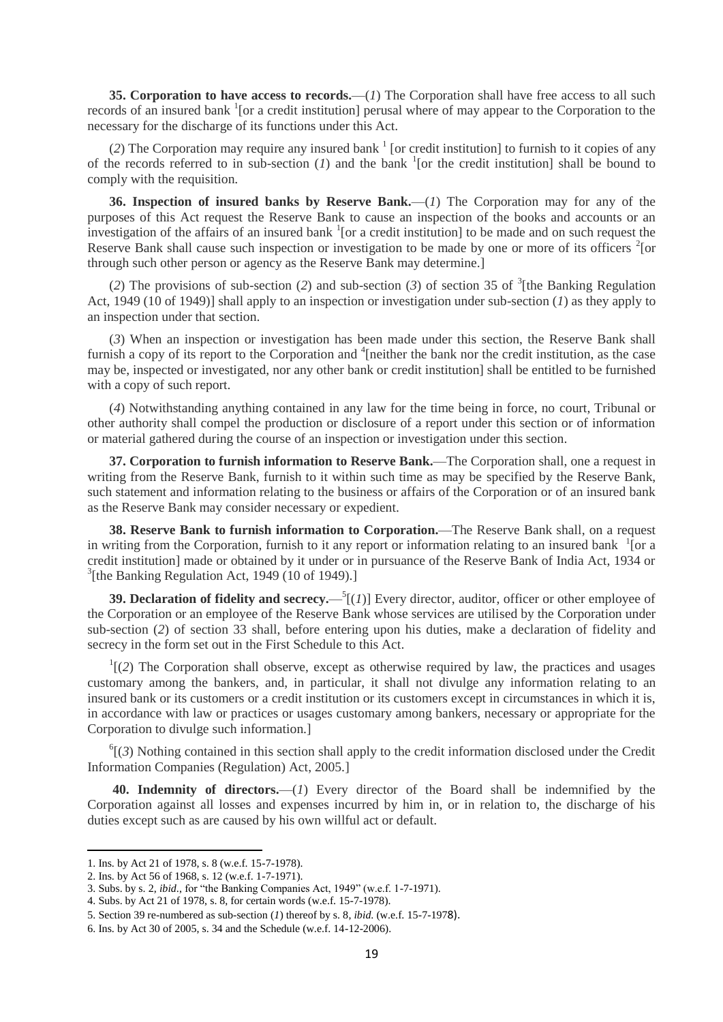**35. Corporation to have access to records.**—(*1*) The Corporation shall have free access to all such records of an insured bank <sup>1</sup>[or a credit institution] perusal where of may appear to the Corporation to the necessary for the discharge of its functions under this Act.

(2) The Corporation may require any insured bank  $<sup>1</sup>$  [or credit institution] to furnish to it copies of any</sup> of the records referred to in sub-section  $(I)$  and the bank <sup>1</sup> [or the credit institution] shall be bound to comply with the requisition.

**36. Inspection of insured banks by Reserve Bank.**—(*1*) The Corporation may for any of the purposes of this Act request the Reserve Bank to cause an inspection of the books and accounts or an investigation of the affairs of an insured bank  $1$  [\[](http://www.manupatrafast.in/ba/dispBotC.aspx?nActCompID=62724&iActID=1614#f1)or a credit institution] to be made and on such request the Reserve Bank shall cause such inspection or investigation to be made by one or more of its officers  $2$ [or through such other person or agency as the Reserve Bank may determine.]

(2) The provisions of sub-section (2) and sub-section (3) of section 35 of  ${}^{3}$ [the Banking Regulation Act, 1949 (10 of 1949)] shall apply to an inspection or investigation under sub-section (*1*) as they apply to an inspection under that section.

(*3*) When an inspection or investigation has been made under this section, the Reserve Bank shall furnish a copy of its report to the Corporation and <sup>4</sup> [neither the bank nor the credit institution, as the case may be, inspected or investigated, nor any other bank or credit institution] shall be entitled to be furnished with a copy of such report.

(*4*) Notwithstanding anything contained in any law for the time being in force, no court, Tribunal or other authority shall compel the production or disclosure of a report under this section or of information or material gathered during the course of an inspection or investigation under this section.

**37. Corporation to furnish information to Reserve Bank.**—The Corporation shall, one a request in writing from the Reserve Bank, furnish to it within such time as may be specified by the Reserve Bank, such statement and information relating to the business or affairs of the Corporation or of an insured bank as the Reserve Bank may consider necessary or expedient.

**38. Reserve Bank to furnish information to Corporation.**—The Reserve Bank shall, on a request in writing from the Corporation, furnish to it any report or information relating to an insured bank  $\frac{1}{1}$  $\frac{1}{1}$  $\frac{1}{1}$  [or a credit institution] made or obtained by it under or in pursuance of the Reserve Bank of India Act, 1934 or <sup>3</sup>[the Banking Regulation Act, 1949 (10 of 1949).]

**39. Declaration of fidelity and secrecy.**  $\int_{0}^{5}$  [(*1*)] Every director, auditor, officer or other employee of the Corporation or an employee of the Reserve Bank whose services are utilised by the Corporation under sub-section (*2*) of section 33 shall, before entering upon his duties, make a declaration of fidelity and secrecy in the form set out in the First Schedule to this Act.

 $<sup>1</sup>$ [(2) The Corporation shall observe, except as otherwise required by law, the practices and usages</sup> customary among the bankers, and, in particular, it shall not divulge any information relating to an insured bank or its customers or a credit institution or its customers except in circumstances in which it is, in accordance with law or practices or usages customary among bankers, necessary or appropriate for the Corporation to divulge such information.]

 ${}^{6}$ [(3) Nothing contained in this section shall apply to the credit information disclosed under the Credit Information Companies (Regulation) Act, 2005.]

**40. Indemnity of directors.**—(*1*) Every director of the Board shall be indemnified by the Corporation against all losses and expenses incurred by him in, or in relation to, the discharge of his duties except such as are caused by his own willful act or default.

<sup>1.</sup> Ins. by Act 21 of 1978, s. 8 (w.e.f. 15-7-1978).

<sup>2.</sup> Ins. by Act 56 of 1968, s. 12 (w.e.f. 1-7-1971).

<sup>3.</sup> Subs. by s. 2, *ibid*., for "the Banking Companies Act, 1949" (w.e.f. 1-7-1971).

<sup>4.</sup> Subs. by Act 21 of 1978, s. 8, for certain words (w.e.f. 15-7-1978).

<sup>5.</sup> Section 39 re-numbered as sub-section (*1*) thereof by s. 8, *ibid*. (w.e.f. 15-7-1978).

<sup>6.</sup> Ins. by Act 30 of 2005, s. 34 and the Schedule (w.e.f. 14-12-2006).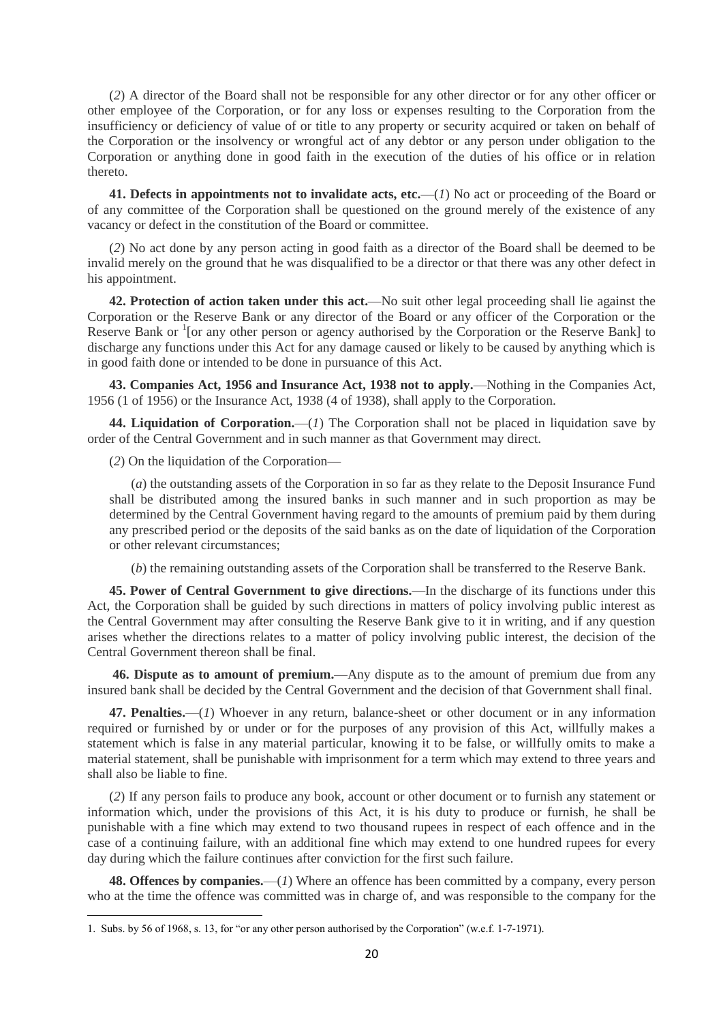(*2*) A director of the Board shall not be responsible for any other director or for any other officer or other employee of the Corporation, or for any loss or expenses resulting to the Corporation from the insufficiency or deficiency of value of or title to any property or security acquired or taken on behalf of the Corporation or the insolvency or wrongful act of any debtor or any person under obligation to the Corporation or anything done in good faith in the execution of the duties of his office or in relation thereto.

**41. Defects in appointments not to invalidate acts, etc.**—(*1*) No act or proceeding of the Board or of any committee of the Corporation shall be questioned on the ground merely of the existence of any vacancy or defect in the constitution of the Board or committee.

(*2*) No act done by any person acting in good faith as a director of the Board shall be deemed to be invalid merely on the ground that he was disqualified to be a director or that there was any other defect in his appointment.

**42. Protection of action taken under this act.**—No suit other legal proceeding shall lie against the Corporation or the Reserve Bank or any director of the Board or any officer of the Corporation or the Reserve Bank or <sup>1</sup> [or any other person or agency authorised by the Corporation or the Reserve Bank] to discharge any functions under this Act for any damage caused or likely to be caused by anything which is in good faith done or intended to be done in pursuance of this Act.

**43. Companies Act, 1956 and Insurance Act, 1938 not to apply.**—Nothing in the Companies Act, 1956 (1 of 1956) or the Insurance Act, 1938 (4 of 1938), shall apply to the Corporation.

44. Liquidation of Corporation.—(*1*) The Corporation shall not be placed in liquidation save by order of the Central Government and in such manner as that Government may direct.

(*2*) On the liquidation of the Corporation—

(*a*) the outstanding assets of the Corporation in so far as they relate to the Deposit Insurance Fund shall be distributed among the insured banks in such manner and in such proportion as may be determined by the Central Government having regard to the amounts of premium paid by them during any prescribed period or the deposits of the said banks as on the date of liquidation of the Corporation or other relevant circumstances;

(*b*) the remaining outstanding assets of the Corporation shall be transferred to the Reserve Bank.

**45. Power of Central Government to give directions.**—In the discharge of its functions under this Act, the Corporation shall be guided by such directions in matters of policy involving public interest as the Central Government may after consulting the Reserve Bank give to it in writing, and if any question arises whether the directions relates to a matter of policy involving public interest, the decision of the Central Government thereon shall be final.

**46. Dispute as to amount of premium.**—Any dispute as to the amount of premium due from any insured bank shall be decided by the Central Government and the decision of that Government shall final.

**47. Penalties.**—(*1*) Whoever in any return, balance-sheet or other document or in any information required or furnished by or under or for the purposes of any provision of this Act, willfully makes a statement which is false in any material particular, knowing it to be false, or willfully omits to make a material statement, shall be punishable with imprisonment for a term which may extend to three years and shall also be liable to fine.

(*2*) If any person fails to produce any book, account or other document or to furnish any statement or information which, under the provisions of this Act, it is his duty to produce or furnish, he shall be punishable with a fine which may extend to two thousand rupees in respect of each offence and in the case of a continuing failure, with an additional fine which may extend to one hundred rupees for every day during which the failure continues after conviction for the first such failure.

**48. Offences by companies.**—(*1*) Where an offence has been committed by a company, every person who at the time the offence was committed was in charge of, and was responsible to the company for the

**<sup>.</sup>** 1. Subs. by 56 of 1968, s. 13, for "or any other person authorised by the Corporation" (w.e.f. 1-7-1971).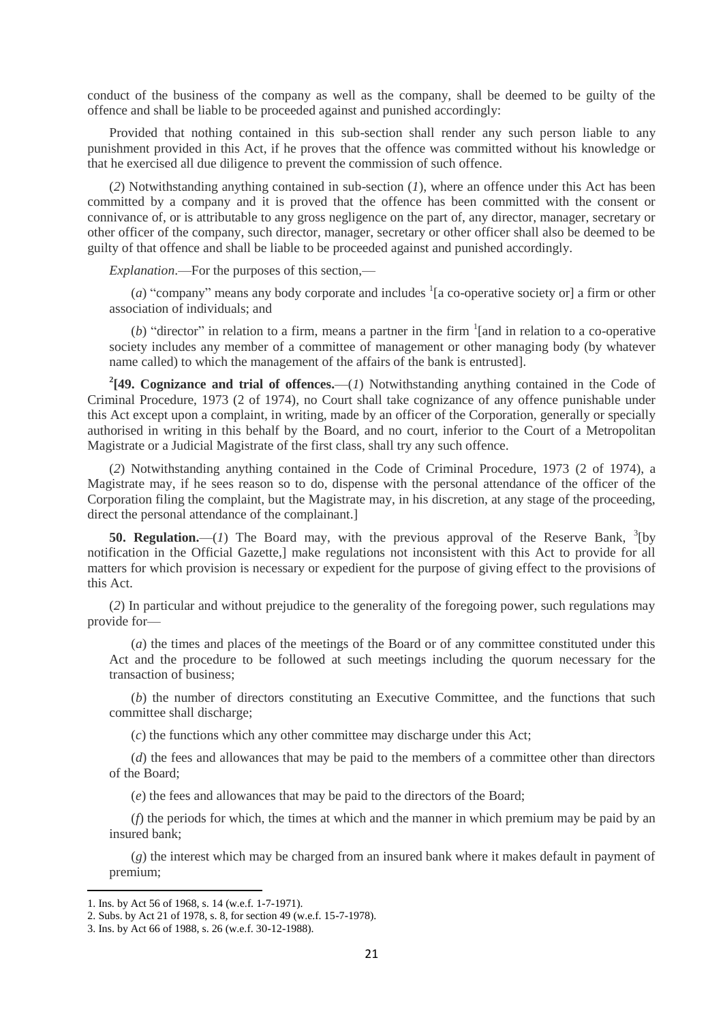conduct of the business of the company as well as the company, shall be deemed to be guilty of the offence and shall be liable to be proceeded against and punished accordingly:

Provided that nothing contained in this sub-section shall render any such person liable to any punishment provided in this Act, if he proves that the offence was committed without his knowledge or that he exercised all due diligence to prevent the commission of such offence.

(*2*) Notwithstanding anything contained in sub-section (*1*), where an offence under this Act has been committed by a company and it is proved that the offence has been committed with the consent or connivance of, or is attributable to any gross negligence on the part of, any director, manager, secretary or other officer of the company, such director, manager, secretary or other officer shall also be deemed to be guilty of that offence and shall be liable to be proceeded against and punished accordingly.

*Explanation*.—For the purposes of this section,—

(*a*) "company" means any body corporate and includes  $\frac{1}{a}$  co-operative society or a firm or other association of individuals; and

(b) "director" in relation to a firm, means a partner in the firm  $\frac{1}{2}$  [and in relation to a co-operative society includes any member of a committee of management or other managing body (by whatever name called) to which the management of the affairs of the bank is entrusted].

<sup>2</sup>[49. Cognizance and trial of offences.—(*1*) Notwithstanding anything contained in the Code of Criminal Procedure, 1973 (2 of 1974), no Court shall take cognizance of any offence punishable under this Act except upon a complaint, in writing, made by an officer of the Corporation, generally or specially authorised in writing in this behalf by the Board, and no court, inferior to the Court of a Metropolitan Magistrate or a Judicial Magistrate of the first class, shall try any such offence.

(*2*) Notwithstanding anything contained in the Code of Criminal Procedure, 1973 (2 of 1974), a Magistrate may, if he sees reason so to do, dispense with the personal attendance of the officer of the Corporation filing the complaint, but the Magistrate may, in his discretion, at any stage of the proceeding, direct the personal attendance of the complainant.]

**50. Regulation.**  $-(1)$  The Board may, with the previous approval of the Reserve Bank,  $\frac{3}{2}$ [by notification in the Official Gazette,] make regulations not inconsistent with this Act to provide for all matters for which provision is necessary or expedient for the purpose of giving effect to the provisions of this Act.

(*2*) In particular and without prejudice to the generality of the foregoing power, such regulations may provide for—

(*a*) the times and places of the meetings of the Board or of any committee constituted under this Act and the procedure to be followed at such meetings including the quorum necessary for the transaction of business;

(*b*) the number of directors constituting an Executive Committee, and the functions that such committee shall discharge;

(*c*) the functions which any other committee may discharge under this Act;

(*d*) the fees and allowances that may be paid to the members of a committee other than directors of the Board;

(*e*) the fees and allowances that may be paid to the directors of the Board;

(*f*) the periods for which, the times at which and the manner in which premium may be paid by an insured bank;

(*g*) the interest which may be charged from an insured bank where it makes default in payment of premium;

<sup>1.</sup> Ins. by Act 56 of 1968, s. 14 (w.e.f. 1-7-1971).

<sup>2.</sup> Subs. by Act 21 of 1978, s. 8, for section 49 (w.e.f. 15-7-1978).

<sup>3.</sup> Ins. by Act 66 of 1988, s. 26 (w.e.f. 30-12-1988).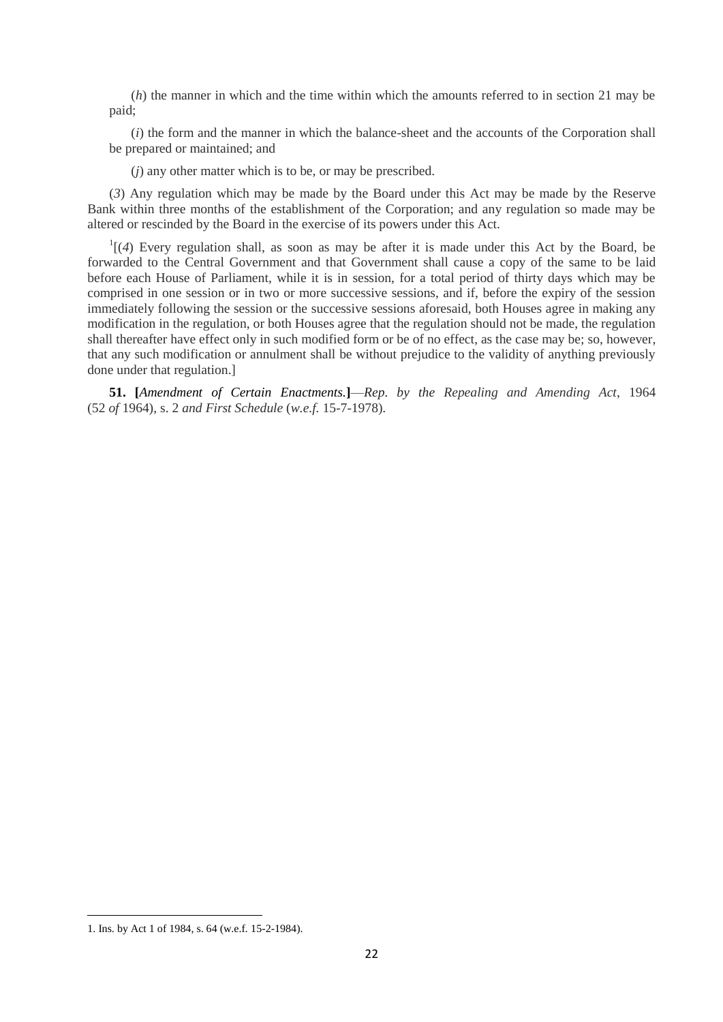(*h*) the manner in which and the time within which the amounts referred to in section 21 may be paid;

(*i*) the form and the manner in which the balance-sheet and the accounts of the Corporation shall be prepared or maintained; and

(*j*) any other matter which is to be, or may be prescribed.

(*3*) Any regulation which may be made by the Board under this Act may be made by the Reserve Bank within three months of the establishment of the Corporation; and any regulation so made may be altered or rescinded by the Board in the exercise of its powers under this Act.

 $\frac{1}{4}$  Every regulation shall, as soon as may be after it is made under this Act by the Board, be forwarded to the Central Government and that Government shall cause a copy of the same to be laid before each House of Parliament, while it is in session, for a total period of thirty days which may be comprised in one session or in two or more successive sessions, and if, before the expiry of the session immediately following the session or the successive sessions aforesaid, both Houses agree in making any modification in the regulation, or both Houses agree that the regulation should not be made, the regulation shall thereafter have effect only in such modified form or be of no effect, as the case may be; so, however, that any such modification or annulment shall be without prejudice to the validity of anything previously done under that regulation.]

**51. [***Amendment of Certain Enactments.***]**—*Rep. by the Repealing and Amending Act*, 1964 (52 *of* 1964), s. 2 *and First Schedule* (*w.e.f.* 15-7-1978)*.*

<sup>1.</sup> Ins. by Act 1 of 1984, s. 64 (w.e.f. 15-2-1984).